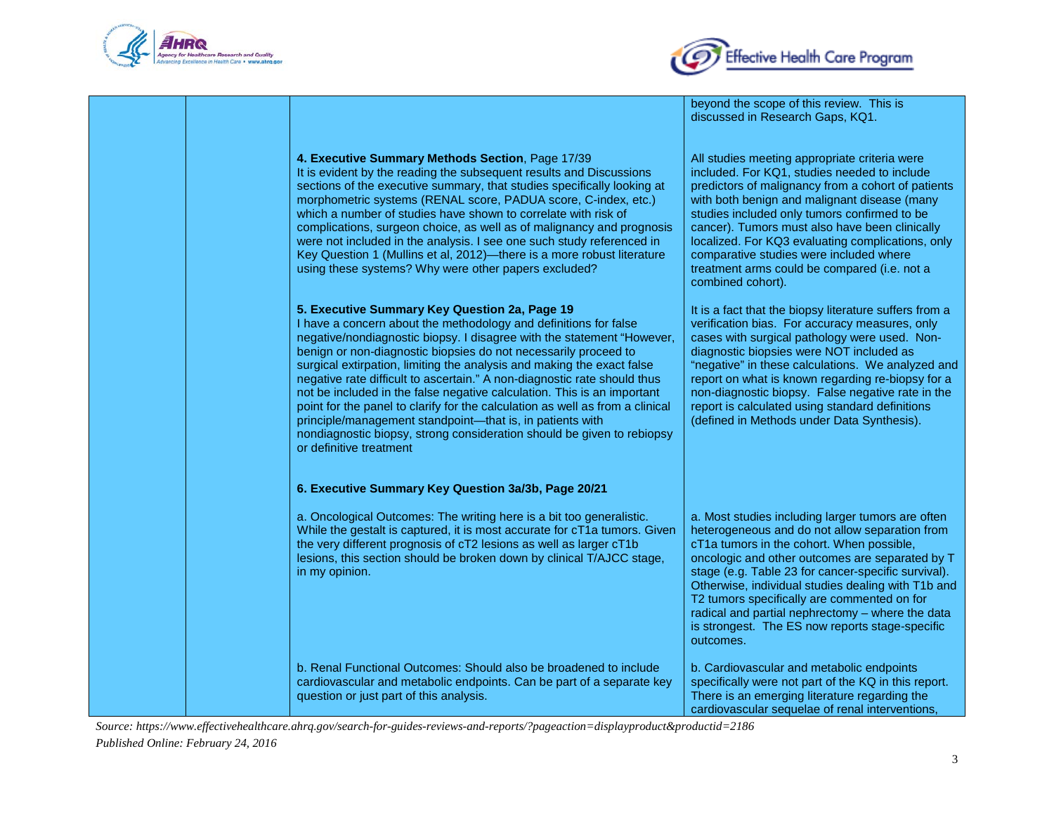



|                                                                                                                                                                                                                                                                                                                                                                                                                                                                                                                                                                                                                                                                                                                                                    | beyond the scope of this review. This is<br>discussed in Research Gaps, KQ1.                                                                                                                                                                                                                                                                                                                                                                                                        |
|----------------------------------------------------------------------------------------------------------------------------------------------------------------------------------------------------------------------------------------------------------------------------------------------------------------------------------------------------------------------------------------------------------------------------------------------------------------------------------------------------------------------------------------------------------------------------------------------------------------------------------------------------------------------------------------------------------------------------------------------------|-------------------------------------------------------------------------------------------------------------------------------------------------------------------------------------------------------------------------------------------------------------------------------------------------------------------------------------------------------------------------------------------------------------------------------------------------------------------------------------|
| 4. Executive Summary Methods Section, Page 17/39<br>It is evident by the reading the subsequent results and Discussions<br>sections of the executive summary, that studies specifically looking at<br>morphometric systems (RENAL score, PADUA score, C-index, etc.)<br>which a number of studies have shown to correlate with risk of<br>complications, surgeon choice, as well as of malignancy and prognosis<br>were not included in the analysis. I see one such study referenced in<br>Key Question 1 (Mullins et al, 2012)—there is a more robust literature<br>using these systems? Why were other papers excluded?                                                                                                                         | All studies meeting appropriate criteria were<br>included. For KQ1, studies needed to include<br>predictors of malignancy from a cohort of patients<br>with both benign and malignant disease (many<br>studies included only tumors confirmed to be<br>cancer). Tumors must also have been clinically<br>localized. For KQ3 evaluating complications, only<br>comparative studies were included where<br>treatment arms could be compared (i.e. not a<br>combined cohort).          |
| 5. Executive Summary Key Question 2a, Page 19<br>I have a concern about the methodology and definitions for false<br>negative/nondiagnostic biopsy. I disagree with the statement "However,<br>benign or non-diagnostic biopsies do not necessarily proceed to<br>surgical extirpation, limiting the analysis and making the exact false<br>negative rate difficult to ascertain." A non-diagnostic rate should thus<br>not be included in the false negative calculation. This is an important<br>point for the panel to clarify for the calculation as well as from a clinical<br>principle/management standpoint-that is, in patients with<br>nondiagnostic biopsy, strong consideration should be given to rebiopsy<br>or definitive treatment | It is a fact that the biopsy literature suffers from a<br>verification bias. For accuracy measures, only<br>cases with surgical pathology were used. Non-<br>diagnostic biopsies were NOT included as<br>"negative" in these calculations. We analyzed and<br>report on what is known regarding re-biopsy for a<br>non-diagnostic biopsy. False negative rate in the<br>report is calculated using standard definitions<br>(defined in Methods under Data Synthesis).               |
| 6. Executive Summary Key Question 3a/3b, Page 20/21                                                                                                                                                                                                                                                                                                                                                                                                                                                                                                                                                                                                                                                                                                |                                                                                                                                                                                                                                                                                                                                                                                                                                                                                     |
| a. Oncological Outcomes: The writing here is a bit too generalistic.<br>While the gestalt is captured, it is most accurate for cT1a tumors. Given<br>the very different prognosis of cT2 lesions as well as larger cT1b<br>lesions, this section should be broken down by clinical T/AJCC stage,<br>in my opinion.                                                                                                                                                                                                                                                                                                                                                                                                                                 | a. Most studies including larger tumors are often<br>heterogeneous and do not allow separation from<br>cT1a tumors in the cohort. When possible,<br>oncologic and other outcomes are separated by T<br>stage (e.g. Table 23 for cancer-specific survival).<br>Otherwise, individual studies dealing with T1b and<br>T2 tumors specifically are commented on for<br>radical and partial nephrectomy - where the data<br>is strongest. The ES now reports stage-specific<br>outcomes. |
| b. Renal Functional Outcomes: Should also be broadened to include<br>cardiovascular and metabolic endpoints. Can be part of a separate key<br>question or just part of this analysis.                                                                                                                                                                                                                                                                                                                                                                                                                                                                                                                                                              | b. Cardiovascular and metabolic endpoints<br>specifically were not part of the KQ in this report.<br>There is an emerging literature regarding the<br>cardiovascular sequelae of renal interventions.                                                                                                                                                                                                                                                                               |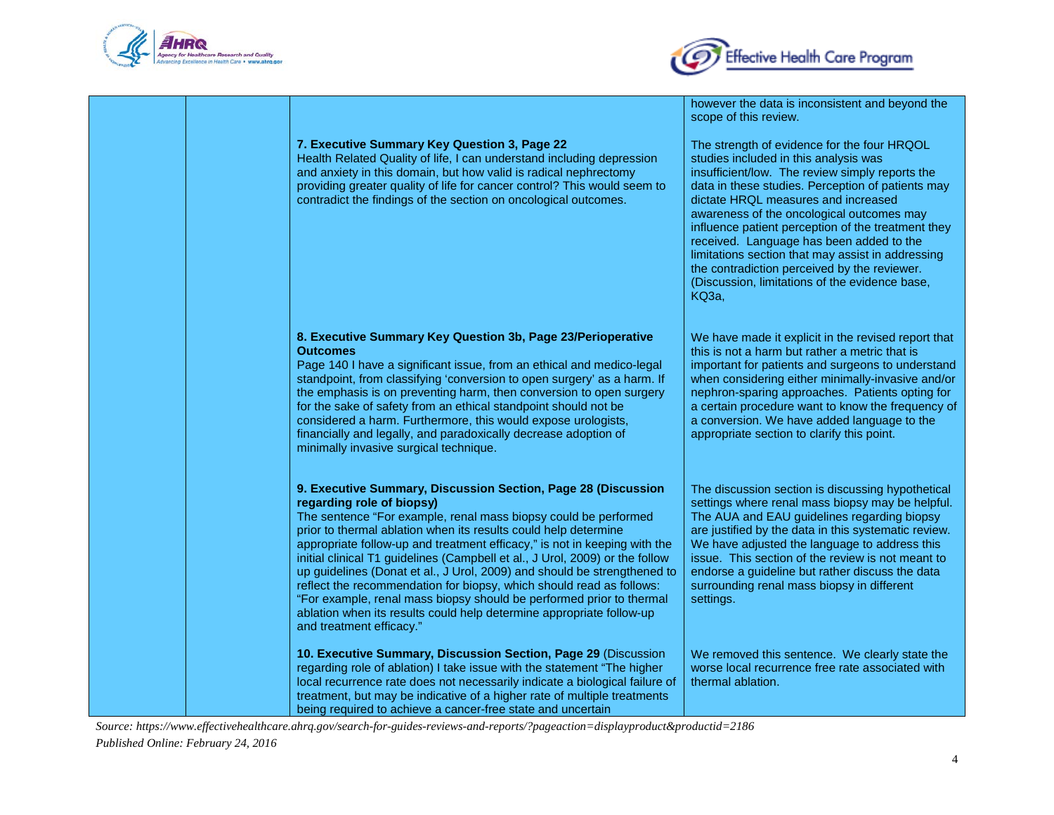



however the data is inconsistent and beyond the

|  |                                                                                                                                                                                                                                                                                                                                                                                                                                                                                                                                                                                                                                                                                                                               | scope of this review.                                                                                                                                                                                                                                                                                                                                                                                                                                                                                                                                     |
|--|-------------------------------------------------------------------------------------------------------------------------------------------------------------------------------------------------------------------------------------------------------------------------------------------------------------------------------------------------------------------------------------------------------------------------------------------------------------------------------------------------------------------------------------------------------------------------------------------------------------------------------------------------------------------------------------------------------------------------------|-----------------------------------------------------------------------------------------------------------------------------------------------------------------------------------------------------------------------------------------------------------------------------------------------------------------------------------------------------------------------------------------------------------------------------------------------------------------------------------------------------------------------------------------------------------|
|  | 7. Executive Summary Key Question 3, Page 22<br>Health Related Quality of life, I can understand including depression<br>and anxiety in this domain, but how valid is radical nephrectomy<br>providing greater quality of life for cancer control? This would seem to<br>contradict the findings of the section on oncological outcomes.                                                                                                                                                                                                                                                                                                                                                                                      | The strength of evidence for the four HRQOL<br>studies included in this analysis was<br>insufficient/low. The review simply reports the<br>data in these studies. Perception of patients may<br>dictate HRQL measures and increased<br>awareness of the oncological outcomes may<br>influence patient perception of the treatment they<br>received. Language has been added to the<br>limitations section that may assist in addressing<br>the contradiction perceived by the reviewer.<br>(Discussion, limitations of the evidence base,<br><b>KQ3a,</b> |
|  | 8. Executive Summary Key Question 3b, Page 23/Perioperative<br><b>Outcomes</b><br>Page 140 I have a significant issue, from an ethical and medico-legal<br>standpoint, from classifying 'conversion to open surgery' as a harm. If<br>the emphasis is on preventing harm, then conversion to open surgery<br>for the sake of safety from an ethical standpoint should not be<br>considered a harm. Furthermore, this would expose urologists,<br>financially and legally, and paradoxically decrease adoption of<br>minimally invasive surgical technique.                                                                                                                                                                    | We have made it explicit in the revised report that<br>this is not a harm but rather a metric that is<br>important for patients and surgeons to understand<br>when considering either minimally-invasive and/or<br>nephron-sparing approaches. Patients opting for<br>a certain procedure want to know the frequency of<br>a conversion. We have added language to the<br>appropriate section to clarify this point.                                                                                                                                      |
|  | 9. Executive Summary, Discussion Section, Page 28 (Discussion<br>regarding role of biopsy)<br>The sentence "For example, renal mass biopsy could be performed<br>prior to thermal ablation when its results could help determine<br>appropriate follow-up and treatment efficacy," is not in keeping with the<br>initial clinical T1 guidelines (Campbell et al., J Urol, 2009) or the follow<br>up guidelines (Donat et al., J Urol, 2009) and should be strengthened to<br>reflect the recommendation for biopsy, which should read as follows:<br>"For example, renal mass biopsy should be performed prior to thermal<br>ablation when its results could help determine appropriate follow-up<br>and treatment efficacy." | The discussion section is discussing hypothetical<br>settings where renal mass biopsy may be helpful.<br>The AUA and EAU guidelines regarding biopsy<br>are justified by the data in this systematic review.<br>We have adjusted the language to address this<br>issue. This section of the review is not meant to<br>endorse a guideline but rather discuss the data<br>surrounding renal mass biopsy in different<br>settings.                                                                                                                          |
|  | 10. Executive Summary, Discussion Section, Page 29 (Discussion<br>regarding role of ablation) I take issue with the statement "The higher<br>local recurrence rate does not necessarily indicate a biological failure of<br>treatment, but may be indicative of a higher rate of multiple treatments<br>being required to achieve a cancer-free state and uncertain                                                                                                                                                                                                                                                                                                                                                           | We removed this sentence. We clearly state the<br>worse local recurrence free rate associated with<br>thermal ablation.                                                                                                                                                                                                                                                                                                                                                                                                                                   |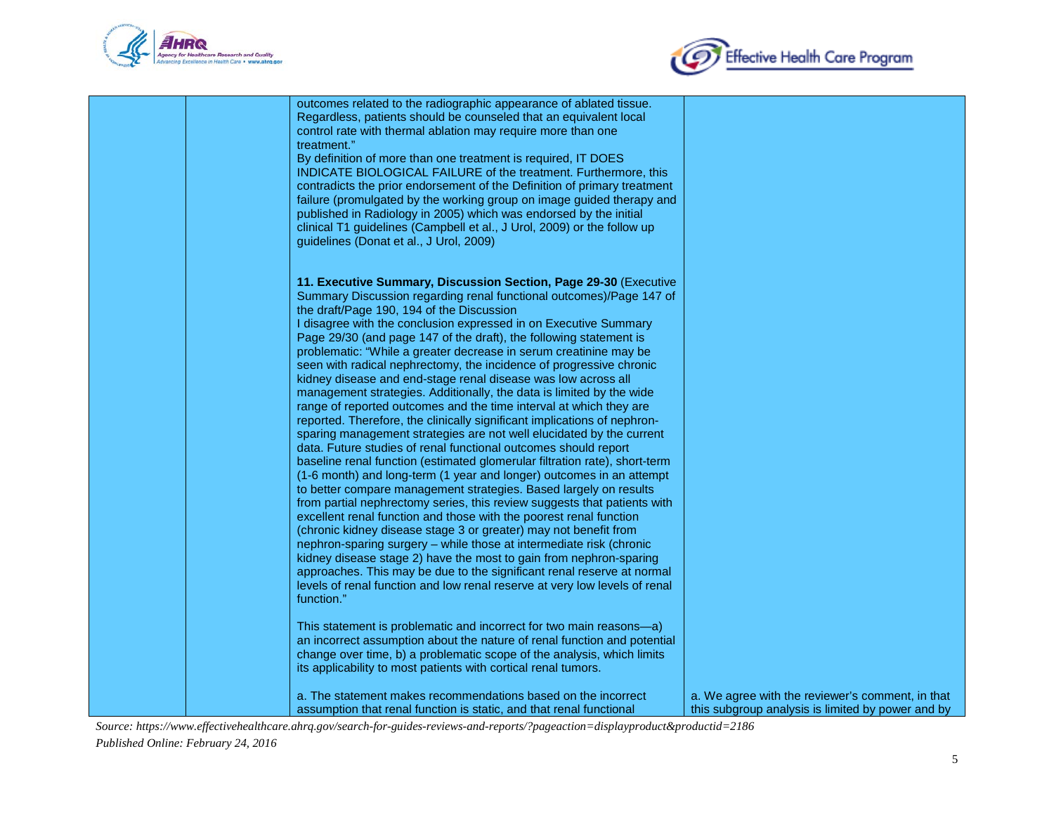



| outcomes related to the radiographic appearance of ablated tissue.<br>Regardless, patients should be counseled that an equivalent local<br>control rate with thermal ablation may require more than one<br>treatment."<br>By definition of more than one treatment is required, IT DOES<br>INDICATE BIOLOGICAL FAILURE of the treatment. Furthermore, this<br>contradicts the prior endorsement of the Definition of primary treatment<br>failure (promulgated by the working group on image guided therapy and<br>published in Radiology in 2005) which was endorsed by the initial<br>clinical T1 guidelines (Campbell et al., J Urol, 2009) or the follow up<br>guidelines (Donat et al., J Urol, 2009)                                                                                                                                                                                                                                                                                                                                                                                                                                                                                                                                                                                                                                                                                                                                                                                                                                                                                                                                                                                                                                                                                                                                                                                                        |                                                                                                       |
|-------------------------------------------------------------------------------------------------------------------------------------------------------------------------------------------------------------------------------------------------------------------------------------------------------------------------------------------------------------------------------------------------------------------------------------------------------------------------------------------------------------------------------------------------------------------------------------------------------------------------------------------------------------------------------------------------------------------------------------------------------------------------------------------------------------------------------------------------------------------------------------------------------------------------------------------------------------------------------------------------------------------------------------------------------------------------------------------------------------------------------------------------------------------------------------------------------------------------------------------------------------------------------------------------------------------------------------------------------------------------------------------------------------------------------------------------------------------------------------------------------------------------------------------------------------------------------------------------------------------------------------------------------------------------------------------------------------------------------------------------------------------------------------------------------------------------------------------------------------------------------------------------------------------|-------------------------------------------------------------------------------------------------------|
| 11. Executive Summary, Discussion Section, Page 29-30 (Executive<br>Summary Discussion regarding renal functional outcomes)/Page 147 of<br>the draft/Page 190, 194 of the Discussion<br>I disagree with the conclusion expressed in on Executive Summary<br>Page 29/30 (and page 147 of the draft), the following statement is<br>problematic: "While a greater decrease in serum creatinine may be<br>seen with radical nephrectomy, the incidence of progressive chronic<br>kidney disease and end-stage renal disease was low across all<br>management strategies. Additionally, the data is limited by the wide<br>range of reported outcomes and the time interval at which they are<br>reported. Therefore, the clinically significant implications of nephron-<br>sparing management strategies are not well elucidated by the current<br>data. Future studies of renal functional outcomes should report<br>baseline renal function (estimated glomerular filtration rate), short-term<br>(1-6 month) and long-term (1 year and longer) outcomes in an attempt<br>to better compare management strategies. Based largely on results<br>from partial nephrectomy series, this review suggests that patients with<br>excellent renal function and those with the poorest renal function<br>(chronic kidney disease stage 3 or greater) may not benefit from<br>nephron-sparing surgery - while those at intermediate risk (chronic<br>kidney disease stage 2) have the most to gain from nephron-sparing<br>approaches. This may be due to the significant renal reserve at normal<br>levels of renal function and low renal reserve at very low levels of renal<br>function."<br>This statement is problematic and incorrect for two main reasons-a)<br>an incorrect assumption about the nature of renal function and potential<br>change over time, b) a problematic scope of the analysis, which limits |                                                                                                       |
| its applicability to most patients with cortical renal tumors.<br>a. The statement makes recommendations based on the incorrect<br>assumption that renal function is static, and that renal functional                                                                                                                                                                                                                                                                                                                                                                                                                                                                                                                                                                                                                                                                                                                                                                                                                                                                                                                                                                                                                                                                                                                                                                                                                                                                                                                                                                                                                                                                                                                                                                                                                                                                                                            | a. We agree with the reviewer's comment, in that<br>this subgroup analysis is limited by power and by |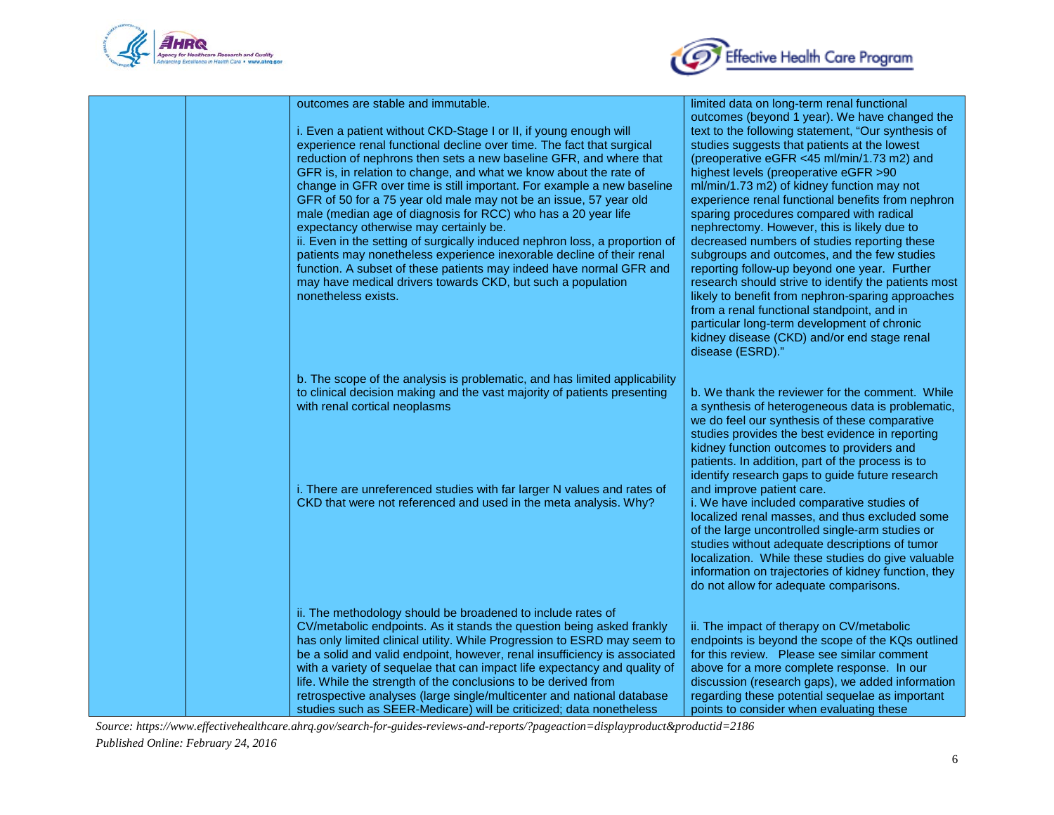



| outcomes are stable and immutable.<br>i. Even a patient without CKD-Stage I or II, if young enough will<br>experience renal functional decline over time. The fact that surgical<br>reduction of nephrons then sets a new baseline GFR, and where that<br>GFR is, in relation to change, and what we know about the rate of<br>change in GFR over time is still important. For example a new baseline<br>GFR of 50 for a 75 year old male may not be an issue, 57 year old<br>male (median age of diagnosis for RCC) who has a 20 year life<br>expectancy otherwise may certainly be.<br>ii. Even in the setting of surgically induced nephron loss, a proportion of<br>patients may nonetheless experience inexorable decline of their renal<br>function. A subset of these patients may indeed have normal GFR and<br>may have medical drivers towards CKD, but such a population<br>nonetheless exists. | limited data on long-term renal functional<br>outcomes (beyond 1 year). We have changed the<br>text to the following statement, "Our synthesis of<br>studies suggests that patients at the lowest<br>(preoperative eGFR <45 ml/min/1.73 m2) and<br>highest levels (preoperative eGFR >90<br>ml/min/1.73 m2) of kidney function may not<br>experience renal functional benefits from nephron<br>sparing procedures compared with radical<br>nephrectomy. However, this is likely due to<br>decreased numbers of studies reporting these<br>subgroups and outcomes, and the few studies<br>reporting follow-up beyond one year. Further<br>research should strive to identify the patients most<br>likely to benefit from nephron-sparing approaches<br>from a renal functional standpoint, and in<br>particular long-term development of chronic<br>kidney disease (CKD) and/or end stage renal<br>disease (ESRD)." |
|------------------------------------------------------------------------------------------------------------------------------------------------------------------------------------------------------------------------------------------------------------------------------------------------------------------------------------------------------------------------------------------------------------------------------------------------------------------------------------------------------------------------------------------------------------------------------------------------------------------------------------------------------------------------------------------------------------------------------------------------------------------------------------------------------------------------------------------------------------------------------------------------------------|--------------------------------------------------------------------------------------------------------------------------------------------------------------------------------------------------------------------------------------------------------------------------------------------------------------------------------------------------------------------------------------------------------------------------------------------------------------------------------------------------------------------------------------------------------------------------------------------------------------------------------------------------------------------------------------------------------------------------------------------------------------------------------------------------------------------------------------------------------------------------------------------------------------------|
| b. The scope of the analysis is problematic, and has limited applicability<br>to clinical decision making and the vast majority of patients presenting<br>with renal cortical neoplasms                                                                                                                                                                                                                                                                                                                                                                                                                                                                                                                                                                                                                                                                                                                    | b. We thank the reviewer for the comment. While<br>a synthesis of heterogeneous data is problematic,<br>we do feel our synthesis of these comparative<br>studies provides the best evidence in reporting<br>kidney function outcomes to providers and<br>patients. In addition, part of the process is to<br>identify research gaps to guide future research                                                                                                                                                                                                                                                                                                                                                                                                                                                                                                                                                       |
| i. There are unreferenced studies with far larger N values and rates of<br>CKD that were not referenced and used in the meta analysis. Why?                                                                                                                                                                                                                                                                                                                                                                                                                                                                                                                                                                                                                                                                                                                                                                | and improve patient care.<br>i. We have included comparative studies of<br>localized renal masses, and thus excluded some<br>of the large uncontrolled single-arm studies or<br>studies without adequate descriptions of tumor<br>localization. While these studies do give valuable<br>information on trajectories of kidney function, they<br>do not allow for adequate comparisons.                                                                                                                                                                                                                                                                                                                                                                                                                                                                                                                             |
| ii. The methodology should be broadened to include rates of<br>CV/metabolic endpoints. As it stands the question being asked frankly<br>has only limited clinical utility. While Progression to ESRD may seem to<br>be a solid and valid endpoint, however, renal insufficiency is associated<br>with a variety of sequelae that can impact life expectancy and quality of<br>life. While the strength of the conclusions to be derived from<br>retrospective analyses (large single/multicenter and national database<br>studies such as SEER-Medicare) will be criticized; data nonetheless                                                                                                                                                                                                                                                                                                              | ii. The impact of therapy on CV/metabolic<br>endpoints is beyond the scope of the KQs outlined<br>for this review. Please see similar comment<br>above for a more complete response. In our<br>discussion (research gaps), we added information<br>regarding these potential sequelae as important<br>points to consider when evaluating these                                                                                                                                                                                                                                                                                                                                                                                                                                                                                                                                                                     |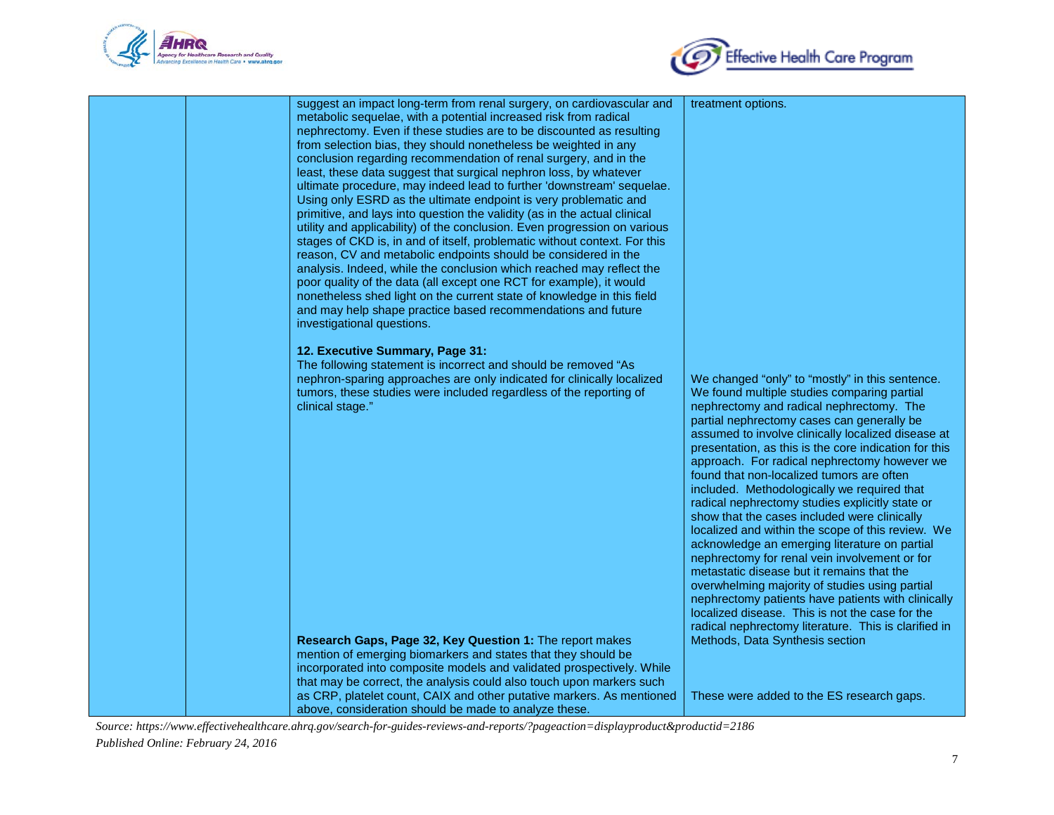



| suggest an impact long-term from renal surgery, on cardiovascular and     | treatment options.                                    |
|---------------------------------------------------------------------------|-------------------------------------------------------|
| metabolic sequelae, with a potential increased risk from radical          |                                                       |
| nephrectomy. Even if these studies are to be discounted as resulting      |                                                       |
| from selection bias, they should nonetheless be weighted in any           |                                                       |
| conclusion regarding recommendation of renal surgery, and in the          |                                                       |
| least, these data suggest that surgical nephron loss, by whatever         |                                                       |
| ultimate procedure, may indeed lead to further 'downstream' sequelae.     |                                                       |
| Using only ESRD as the ultimate endpoint is very problematic and          |                                                       |
| primitive, and lays into question the validity (as in the actual clinical |                                                       |
| utility and applicability) of the conclusion. Even progression on various |                                                       |
|                                                                           |                                                       |
| stages of CKD is, in and of itself, problematic without context. For this |                                                       |
| reason, CV and metabolic endpoints should be considered in the            |                                                       |
| analysis. Indeed, while the conclusion which reached may reflect the      |                                                       |
| poor quality of the data (all except one RCT for example), it would       |                                                       |
| nonetheless shed light on the current state of knowledge in this field    |                                                       |
| and may help shape practice based recommendations and future              |                                                       |
| investigational questions.                                                |                                                       |
|                                                                           |                                                       |
| 12. Executive Summary, Page 31:                                           |                                                       |
| The following statement is incorrect and should be removed "As            |                                                       |
| nephron-sparing approaches are only indicated for clinically localized    | We changed "only" to "mostly" in this sentence.       |
| tumors, these studies were included regardless of the reporting of        | We found multiple studies comparing partial           |
| clinical stage."                                                          | nephrectomy and radical nephrectomy. The              |
|                                                                           | partial nephrectomy cases can generally be            |
|                                                                           | assumed to involve clinically localized disease at    |
|                                                                           |                                                       |
|                                                                           | presentation, as this is the core indication for this |
|                                                                           | approach. For radical nephrectomy however we          |
|                                                                           | found that non-localized tumors are often             |
|                                                                           | included. Methodologically we required that           |
|                                                                           | radical nephrectomy studies explicitly state or       |
|                                                                           | show that the cases included were clinically          |
|                                                                           | localized and within the scope of this review. We     |
|                                                                           | acknowledge an emerging literature on partial         |
|                                                                           | nephrectomy for renal vein involvement or for         |
|                                                                           | metastatic disease but it remains that the            |
|                                                                           | overwhelming majority of studies using partial        |
|                                                                           | nephrectomy patients have patients with clinically    |
|                                                                           |                                                       |
|                                                                           | localized disease. This is not the case for the       |
|                                                                           | radical nephrectomy literature. This is clarified in  |
| Research Gaps, Page 32, Key Question 1: The report makes                  | Methods, Data Synthesis section                       |
| mention of emerging biomarkers and states that they should be             |                                                       |
| incorporated into composite models and validated prospectively. While     |                                                       |
| that may be correct, the analysis could also touch upon markers such      |                                                       |
| as CRP, platelet count, CAIX and other putative markers. As mentioned     | These were added to the ES research gaps.             |
| above, consideration should be made to analyze these.                     |                                                       |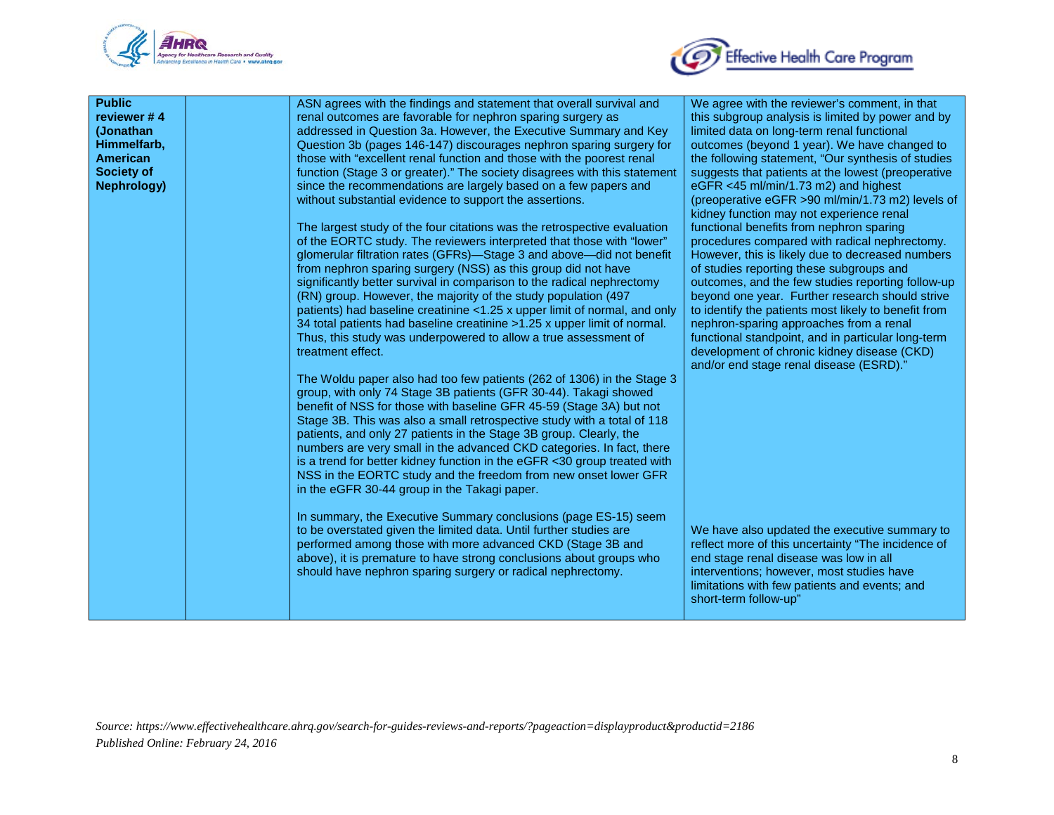



| <b>Public</b><br>reviewer #4<br>(Jonathan<br>Himmelfarb,<br><b>American</b><br><b>Society of</b><br><b>Nephrology)</b> | ASN agrees with the findings and statement that overall survival and<br>renal outcomes are favorable for nephron sparing surgery as<br>addressed in Question 3a. However, the Executive Summary and Key<br>Question 3b (pages 146-147) discourages nephron sparing surgery for<br>those with "excellent renal function and those with the poorest renal<br>function (Stage 3 or greater)." The society disagrees with this statement<br>since the recommendations are largely based on a few papers and<br>without substantial evidence to support the assertions.<br>The largest study of the four citations was the retrospective evaluation<br>of the EORTC study. The reviewers interpreted that those with "lower"<br>glomerular filtration rates (GFRs)-Stage 3 and above-did not benefit<br>from nephron sparing surgery (NSS) as this group did not have<br>significantly better survival in comparison to the radical nephrectomy<br>(RN) group. However, the majority of the study population (497<br>patients) had baseline creatinine <1.25 x upper limit of normal, and only<br>34 total patients had baseline creatinine >1.25 x upper limit of normal.<br>Thus, this study was underpowered to allow a true assessment of<br>treatment effect.<br>The Woldu paper also had too few patients (262 of 1306) in the Stage 3<br>group, with only 74 Stage 3B patients (GFR 30-44). Takagi showed<br>benefit of NSS for those with baseline GFR 45-59 (Stage 3A) but not<br>Stage 3B. This was also a small retrospective study with a total of 118<br>patients, and only 27 patients in the Stage 3B group. Clearly, the<br>numbers are very small in the advanced CKD categories. In fact, there | We agree with the reviewer's comment, in that<br>this subgroup analysis is limited by power and by<br>limited data on long-term renal functional<br>outcomes (beyond 1 year). We have changed to<br>the following statement, "Our synthesis of studies<br>suggests that patients at the lowest (preoperative<br>eGFR <45 ml/min/1.73 m2) and highest<br>(preoperative eGFR >90 ml/min/1.73 m2) levels of<br>kidney function may not experience renal<br>functional benefits from nephron sparing<br>procedures compared with radical nephrectomy.<br>However, this is likely due to decreased numbers<br>of studies reporting these subgroups and<br>outcomes, and the few studies reporting follow-up<br>beyond one year. Further research should strive<br>to identify the patients most likely to benefit from<br>nephron-sparing approaches from a renal<br>functional standpoint, and in particular long-term<br>development of chronic kidney disease (CKD)<br>and/or end stage renal disease (ESRD)." |
|------------------------------------------------------------------------------------------------------------------------|--------------------------------------------------------------------------------------------------------------------------------------------------------------------------------------------------------------------------------------------------------------------------------------------------------------------------------------------------------------------------------------------------------------------------------------------------------------------------------------------------------------------------------------------------------------------------------------------------------------------------------------------------------------------------------------------------------------------------------------------------------------------------------------------------------------------------------------------------------------------------------------------------------------------------------------------------------------------------------------------------------------------------------------------------------------------------------------------------------------------------------------------------------------------------------------------------------------------------------------------------------------------------------------------------------------------------------------------------------------------------------------------------------------------------------------------------------------------------------------------------------------------------------------------------------------------------------------------------------------------------------------------------------------------------------------------------------------|--------------------------------------------------------------------------------------------------------------------------------------------------------------------------------------------------------------------------------------------------------------------------------------------------------------------------------------------------------------------------------------------------------------------------------------------------------------------------------------------------------------------------------------------------------------------------------------------------------------------------------------------------------------------------------------------------------------------------------------------------------------------------------------------------------------------------------------------------------------------------------------------------------------------------------------------------------------------------------------------------------------|
|                                                                                                                        | is a trend for better kidney function in the eGFR <30 group treated with<br>NSS in the EORTC study and the freedom from new onset lower GFR<br>in the eGFR 30-44 group in the Takagi paper.<br>In summary, the Executive Summary conclusions (page ES-15) seem<br>to be overstated given the limited data. Until further studies are<br>performed among those with more advanced CKD (Stage 3B and<br>above), it is premature to have strong conclusions about groups who<br>should have nephron sparing surgery or radical nephrectomy.                                                                                                                                                                                                                                                                                                                                                                                                                                                                                                                                                                                                                                                                                                                                                                                                                                                                                                                                                                                                                                                                                                                                                                     | We have also updated the executive summary to<br>reflect more of this uncertainty "The incidence of<br>end stage renal disease was low in all<br>interventions; however, most studies have                                                                                                                                                                                                                                                                                                                                                                                                                                                                                                                                                                                                                                                                                                                                                                                                                   |
|                                                                                                                        |                                                                                                                                                                                                                                                                                                                                                                                                                                                                                                                                                                                                                                                                                                                                                                                                                                                                                                                                                                                                                                                                                                                                                                                                                                                                                                                                                                                                                                                                                                                                                                                                                                                                                                              | limitations with few patients and events; and<br>short-term follow-up"                                                                                                                                                                                                                                                                                                                                                                                                                                                                                                                                                                                                                                                                                                                                                                                                                                                                                                                                       |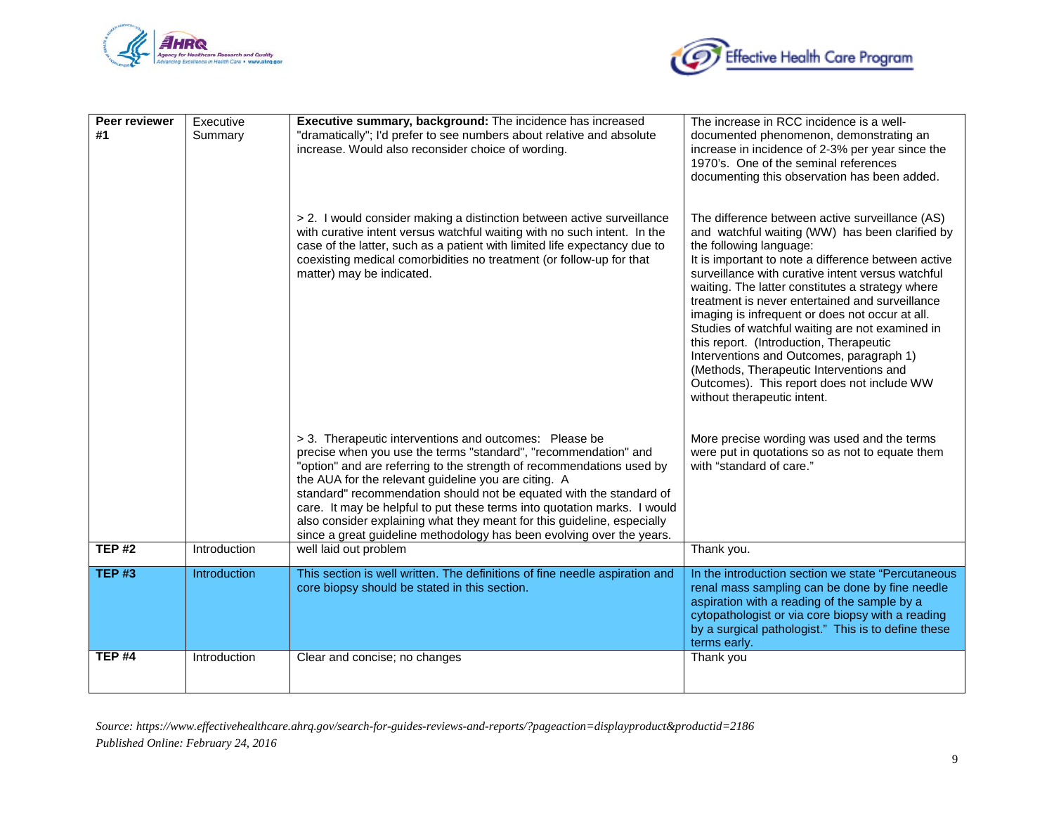



| Peer reviewer<br>#1 | Executive<br>Summary | Executive summary, background: The incidence has increased<br>"dramatically"; I'd prefer to see numbers about relative and absolute<br>increase. Would also reconsider choice of wording.                                                                                                                                                                                                                                                                                                                                                                         | The increase in RCC incidence is a well-<br>documented phenomenon, demonstrating an<br>increase in incidence of 2-3% per year since the<br>1970's. One of the seminal references<br>documenting this observation has been added.                                                                                                                                                                                                                                                                                                                                                                                                                                      |
|---------------------|----------------------|-------------------------------------------------------------------------------------------------------------------------------------------------------------------------------------------------------------------------------------------------------------------------------------------------------------------------------------------------------------------------------------------------------------------------------------------------------------------------------------------------------------------------------------------------------------------|-----------------------------------------------------------------------------------------------------------------------------------------------------------------------------------------------------------------------------------------------------------------------------------------------------------------------------------------------------------------------------------------------------------------------------------------------------------------------------------------------------------------------------------------------------------------------------------------------------------------------------------------------------------------------|
|                     |                      | > 2. I would consider making a distinction between active surveillance<br>with curative intent versus watchful waiting with no such intent. In the<br>case of the latter, such as a patient with limited life expectancy due to<br>coexisting medical comorbidities no treatment (or follow-up for that<br>matter) may be indicated.                                                                                                                                                                                                                              | The difference between active surveillance (AS)<br>and watchful waiting (WW) has been clarified by<br>the following language:<br>It is important to note a difference between active<br>surveillance with curative intent versus watchful<br>waiting. The latter constitutes a strategy where<br>treatment is never entertained and surveillance<br>imaging is infrequent or does not occur at all.<br>Studies of watchful waiting are not examined in<br>this report. (Introduction, Therapeutic<br>Interventions and Outcomes, paragraph 1)<br>(Methods, Therapeutic Interventions and<br>Outcomes). This report does not include WW<br>without therapeutic intent. |
|                     |                      | > 3. Therapeutic interventions and outcomes: Please be<br>precise when you use the terms "standard", "recommendation" and<br>"option" and are referring to the strength of recommendations used by<br>the AUA for the relevant guideline you are citing. A<br>standard" recommendation should not be equated with the standard of<br>care. It may be helpful to put these terms into quotation marks. I would<br>also consider explaining what they meant for this guideline, especially<br>since a great guideline methodology has been evolving over the years. | More precise wording was used and the terms<br>were put in quotations so as not to equate them<br>with "standard of care."                                                                                                                                                                                                                                                                                                                                                                                                                                                                                                                                            |
| <b>TEP#2</b>        | Introduction         | well laid out problem                                                                                                                                                                                                                                                                                                                                                                                                                                                                                                                                             | Thank you.                                                                                                                                                                                                                                                                                                                                                                                                                                                                                                                                                                                                                                                            |
| <b>TEP#3</b>        | Introduction         | This section is well written. The definitions of fine needle aspiration and<br>core biopsy should be stated in this section.                                                                                                                                                                                                                                                                                                                                                                                                                                      | In the introduction section we state "Percutaneous"<br>renal mass sampling can be done by fine needle<br>aspiration with a reading of the sample by a<br>cytopathologist or via core biopsy with a reading<br>by a surgical pathologist." This is to define these<br>terms early.                                                                                                                                                                                                                                                                                                                                                                                     |
| <b>TEP #4</b>       | Introduction         | Clear and concise; no changes                                                                                                                                                                                                                                                                                                                                                                                                                                                                                                                                     | Thank you                                                                                                                                                                                                                                                                                                                                                                                                                                                                                                                                                                                                                                                             |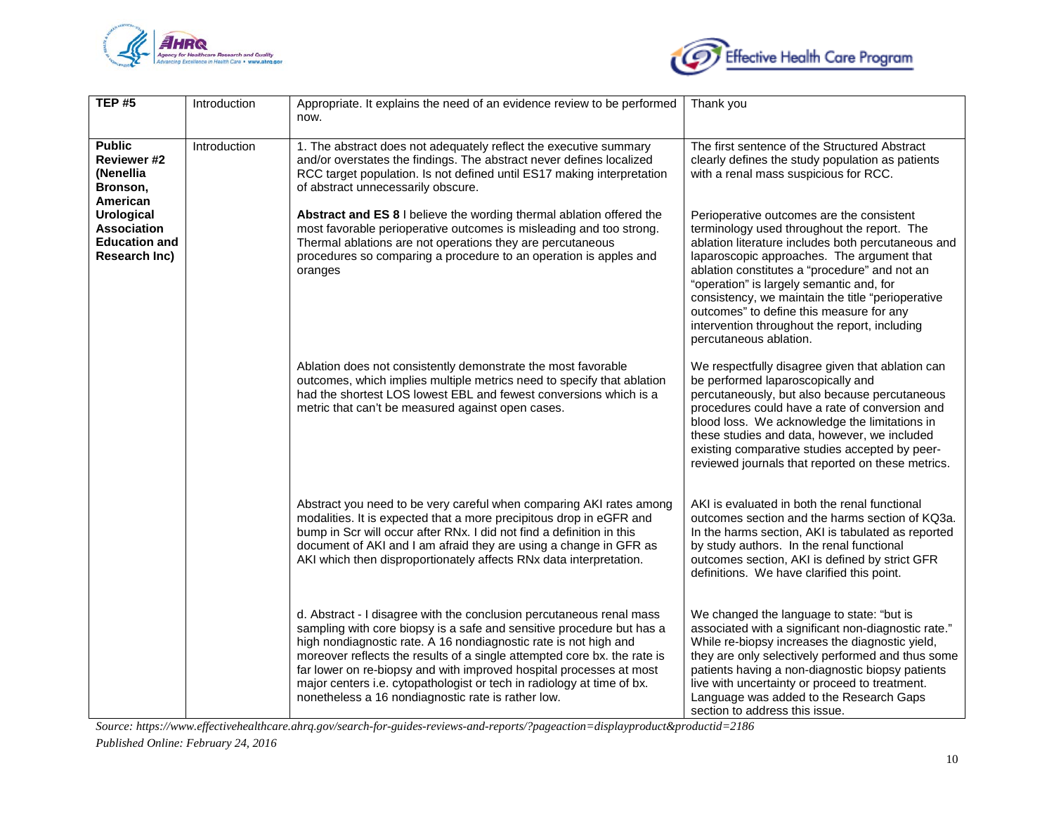



| <b>TEP#5</b>                                                                     | Introduction | Appropriate. It explains the need of an evidence review to be performed<br>now.                                                                                                                                                                                                                                                                                                                                                                                                                      | Thank you                                                                                                                                                                                                                                                                                                                                                                                                                                                             |
|----------------------------------------------------------------------------------|--------------|------------------------------------------------------------------------------------------------------------------------------------------------------------------------------------------------------------------------------------------------------------------------------------------------------------------------------------------------------------------------------------------------------------------------------------------------------------------------------------------------------|-----------------------------------------------------------------------------------------------------------------------------------------------------------------------------------------------------------------------------------------------------------------------------------------------------------------------------------------------------------------------------------------------------------------------------------------------------------------------|
| <b>Public</b><br><b>Reviewer #2</b><br>(Nenellia<br>Bronson,<br>American         | Introduction | 1. The abstract does not adequately reflect the executive summary<br>and/or overstates the findings. The abstract never defines localized<br>RCC target population. Is not defined until ES17 making interpretation<br>of abstract unnecessarily obscure.                                                                                                                                                                                                                                            | The first sentence of the Structured Abstract<br>clearly defines the study population as patients<br>with a renal mass suspicious for RCC.                                                                                                                                                                                                                                                                                                                            |
| <b>Urological</b><br><b>Association</b><br><b>Education and</b><br>Research Inc) |              | Abstract and ES 8 I believe the wording thermal ablation offered the<br>most favorable perioperative outcomes is misleading and too strong.<br>Thermal ablations are not operations they are percutaneous<br>procedures so comparing a procedure to an operation is apples and<br>oranges                                                                                                                                                                                                            | Perioperative outcomes are the consistent<br>terminology used throughout the report. The<br>ablation literature includes both percutaneous and<br>laparoscopic approaches. The argument that<br>ablation constitutes a "procedure" and not an<br>"operation" is largely semantic and, for<br>consistency, we maintain the title "perioperative<br>outcomes" to define this measure for any<br>intervention throughout the report, including<br>percutaneous ablation. |
|                                                                                  |              | Ablation does not consistently demonstrate the most favorable<br>outcomes, which implies multiple metrics need to specify that ablation<br>had the shortest LOS lowest EBL and fewest conversions which is a<br>metric that can't be measured against open cases.                                                                                                                                                                                                                                    | We respectfully disagree given that ablation can<br>be performed laparoscopically and<br>percutaneously, but also because percutaneous<br>procedures could have a rate of conversion and<br>blood loss. We acknowledge the limitations in<br>these studies and data, however, we included<br>existing comparative studies accepted by peer-<br>reviewed journals that reported on these metrics.                                                                      |
|                                                                                  |              | Abstract you need to be very careful when comparing AKI rates among<br>modalities. It is expected that a more precipitous drop in eGFR and<br>bump in Scr will occur after RNx. I did not find a definition in this<br>document of AKI and I am afraid they are using a change in GFR as<br>AKI which then disproportionately affects RNx data interpretation.                                                                                                                                       | AKI is evaluated in both the renal functional<br>outcomes section and the harms section of KQ3a.<br>In the harms section, AKI is tabulated as reported<br>by study authors. In the renal functional<br>outcomes section, AKI is defined by strict GFR<br>definitions. We have clarified this point.                                                                                                                                                                   |
|                                                                                  |              | d. Abstract - I disagree with the conclusion percutaneous renal mass<br>sampling with core biopsy is a safe and sensitive procedure but has a<br>high nondiagnostic rate. A 16 nondiagnostic rate is not high and<br>moreover reflects the results of a single attempted core bx. the rate is<br>far lower on re-biopsy and with improved hospital processes at most<br>major centers i.e. cytopathologist or tech in radiology at time of bx.<br>nonetheless a 16 nondiagnostic rate is rather low. | We changed the language to state: "but is<br>associated with a significant non-diagnostic rate."<br>While re-biopsy increases the diagnostic yield,<br>they are only selectively performed and thus some<br>patients having a non-diagnostic biopsy patients<br>live with uncertainty or proceed to treatment.<br>Language was added to the Research Gaps<br>section to address this issue.                                                                           |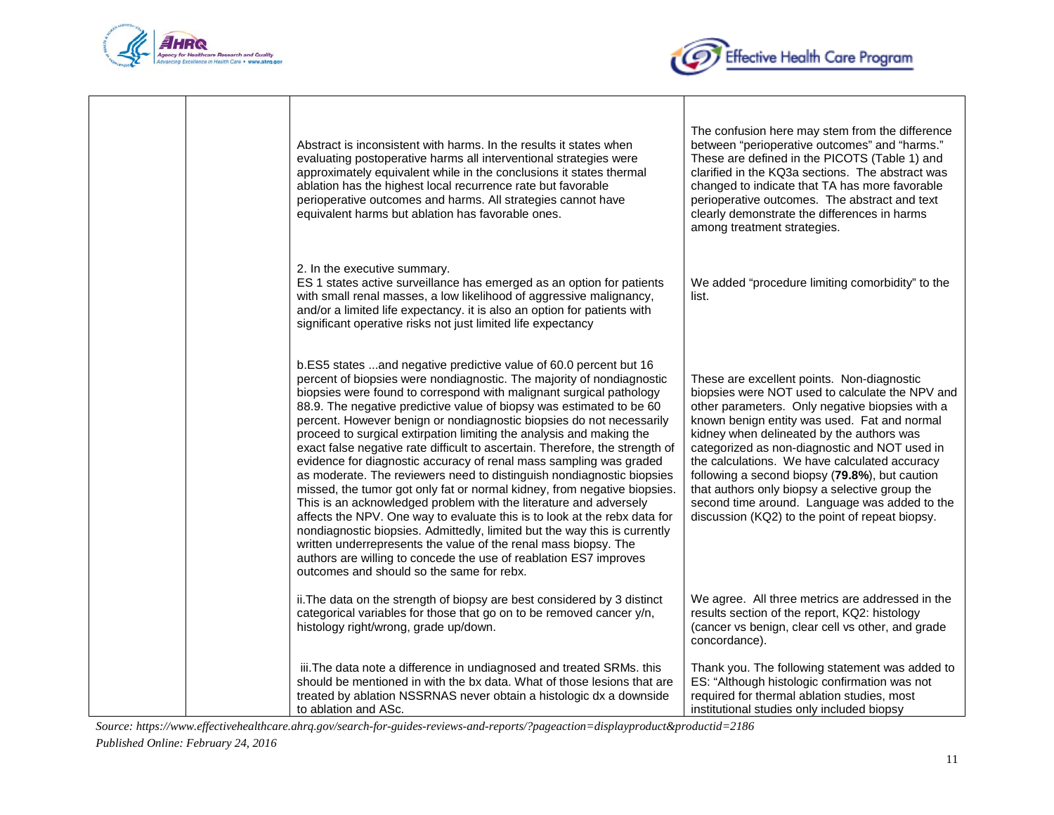



|  | Abstract is inconsistent with harms. In the results it states when<br>evaluating postoperative harms all interventional strategies were<br>approximately equivalent while in the conclusions it states thermal<br>ablation has the highest local recurrence rate but favorable<br>perioperative outcomes and harms. All strategies cannot have<br>equivalent harms but ablation has favorable ones.                                                                                                                                                                                                                                                                                                                                                                                                                                                                                                                                                                                                                                                                                                                                                                      | The confusion here may stem from the difference<br>between "perioperative outcomes" and "harms."<br>These are defined in the PICOTS (Table 1) and<br>clarified in the KQ3a sections. The abstract was<br>changed to indicate that TA has more favorable<br>perioperative outcomes. The abstract and text<br>clearly demonstrate the differences in harms<br>among treatment strategies.                                                                                                                                                                 |
|--|--------------------------------------------------------------------------------------------------------------------------------------------------------------------------------------------------------------------------------------------------------------------------------------------------------------------------------------------------------------------------------------------------------------------------------------------------------------------------------------------------------------------------------------------------------------------------------------------------------------------------------------------------------------------------------------------------------------------------------------------------------------------------------------------------------------------------------------------------------------------------------------------------------------------------------------------------------------------------------------------------------------------------------------------------------------------------------------------------------------------------------------------------------------------------|---------------------------------------------------------------------------------------------------------------------------------------------------------------------------------------------------------------------------------------------------------------------------------------------------------------------------------------------------------------------------------------------------------------------------------------------------------------------------------------------------------------------------------------------------------|
|  | 2. In the executive summary.<br>ES 1 states active surveillance has emerged as an option for patients<br>with small renal masses, a low likelihood of aggressive malignancy,<br>and/or a limited life expectancy. it is also an option for patients with<br>significant operative risks not just limited life expectancy                                                                                                                                                                                                                                                                                                                                                                                                                                                                                                                                                                                                                                                                                                                                                                                                                                                 | We added "procedure limiting comorbidity" to the<br>list.                                                                                                                                                                                                                                                                                                                                                                                                                                                                                               |
|  | b.ES5 states and negative predictive value of 60.0 percent but 16<br>percent of biopsies were nondiagnostic. The majority of nondiagnostic<br>biopsies were found to correspond with malignant surgical pathology<br>88.9. The negative predictive value of biopsy was estimated to be 60<br>percent. However benign or nondiagnostic biopsies do not necessarily<br>proceed to surgical extirpation limiting the analysis and making the<br>exact false negative rate difficult to ascertain. Therefore, the strength of<br>evidence for diagnostic accuracy of renal mass sampling was graded<br>as moderate. The reviewers need to distinguish nondiagnostic biopsies<br>missed, the tumor got only fat or normal kidney, from negative biopsies.<br>This is an acknowledged problem with the literature and adversely<br>affects the NPV. One way to evaluate this is to look at the rebx data for<br>nondiagnostic biopsies. Admittedly, limited but the way this is currently<br>written underrepresents the value of the renal mass biopsy. The<br>authors are willing to concede the use of reablation ES7 improves<br>outcomes and should so the same for rebx. | These are excellent points. Non-diagnostic<br>biopsies were NOT used to calculate the NPV and<br>other parameters. Only negative biopsies with a<br>known benign entity was used. Fat and normal<br>kidney when delineated by the authors was<br>categorized as non-diagnostic and NOT used in<br>the calculations. We have calculated accuracy<br>following a second biopsy (79.8%), but caution<br>that authors only biopsy a selective group the<br>second time around. Language was added to the<br>discussion (KQ2) to the point of repeat biopsy. |
|  | ii. The data on the strength of biopsy are best considered by 3 distinct<br>categorical variables for those that go on to be removed cancer y/n,<br>histology right/wrong, grade up/down.                                                                                                                                                                                                                                                                                                                                                                                                                                                                                                                                                                                                                                                                                                                                                                                                                                                                                                                                                                                | We agree. All three metrics are addressed in the<br>results section of the report, KQ2: histology<br>(cancer vs benign, clear cell vs other, and grade<br>concordance).                                                                                                                                                                                                                                                                                                                                                                                 |
|  | iii. The data note a difference in undiagnosed and treated SRMs. this<br>should be mentioned in with the bx data. What of those lesions that are<br>treated by ablation NSSRNAS never obtain a histologic dx a downside<br>to ablation and ASc.                                                                                                                                                                                                                                                                                                                                                                                                                                                                                                                                                                                                                                                                                                                                                                                                                                                                                                                          | Thank you. The following statement was added to<br>ES: "Although histologic confirmation was not<br>required for thermal ablation studies, most<br>institutional studies only included biopsy                                                                                                                                                                                                                                                                                                                                                           |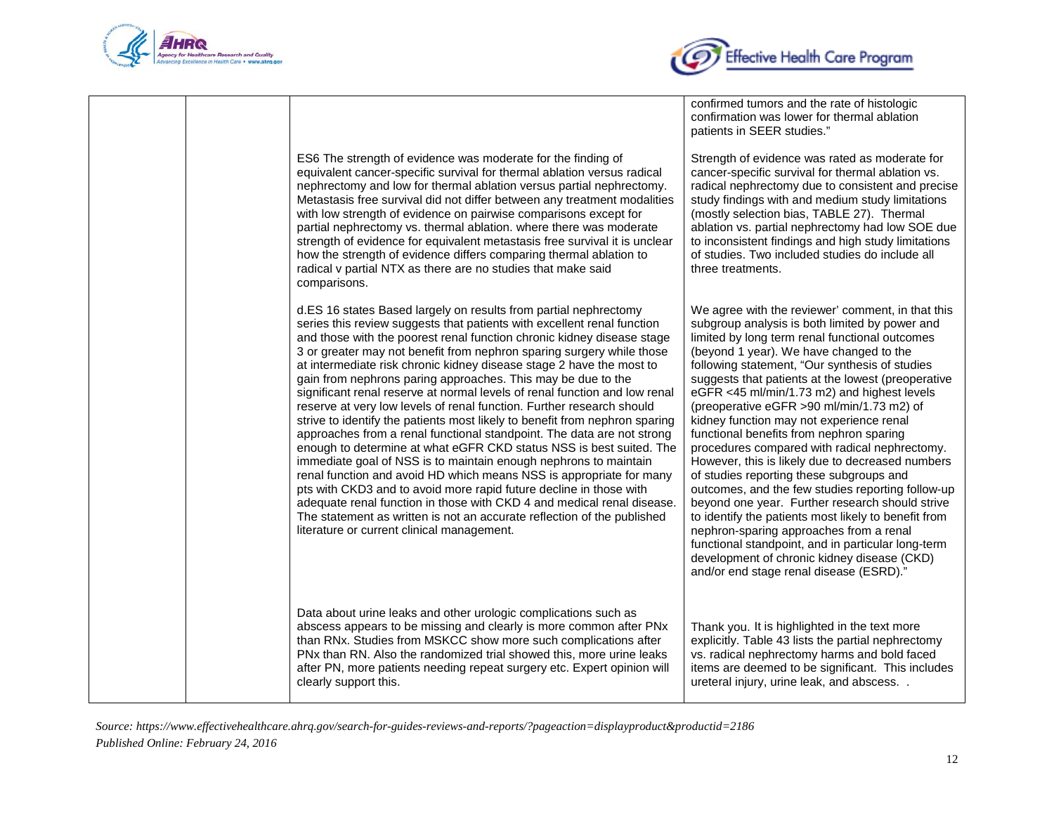



ES6 The strength of evidence was moderate for the finding of equivalent cancer-specific survival for thermal ablation versus radical nephrectomy and low for thermal ablation versus partial nephrectomy. Metastasis free survival did not differ between any treatment modalities with low strength of evidence on pairwise comparisons except for partial nephrectomy vs. thermal ablation. where there was moderate strength of evidence for equivalent metastasis free survival it is unclear how the strength of evidence differs comparing thermal ablation to radical v partial NTX as there are no studies that make said comparisons. d.ES 16 states Based largely on results from partial nephrectomy

series this review suggests that patients with excellent renal function and those with the poorest renal function chronic kidney disease stage 3 or greater may not benefit from nephron sparing surgery while those at intermediate risk chronic kidney disease stage 2 have the most to gain from nephrons paring approaches. This may be due to the significant renal reserve at normal levels of renal function and low renal reserve at very low levels of renal function. Further research should strive to identify the patients most likely to benefit from nephron sparing approaches from a renal functional standpoint. The data are not strong enough to determine at what eGFR CKD status NSS is best suited. The immediate goal of NSS is to maintain enough nephrons to maintain renal function and avoid HD which means NSS is appropriate for many pts with CKD3 and to avoid more rapid future decline in those with adequate renal function in those with CKD 4 and medical renal disease. The statement as written is not an accurate reflection of the published literature or current clinical management.

Data about urine leaks and other urologic complications such as abscess appears to be missing and clearly is more common after PNx than RNx. Studies from MSKCC show more such complications after PNx than RN. Also the randomized trial showed this, more urine leaks after PN, more patients needing repeat surgery etc. Expert opinion will clearly support this.

confirmed tumors and the rate of histologic confirmation was lower for thermal ablation patients in SEER studies."

Strength of evidence was rated as moderate for cancer-specific survival for thermal ablation vs. radical nephrectomy due to consistent and precise study findings with and medium study limitations (mostly selection bias, TABLE 27). Thermal ablation vs. partial nephrectomy had low SOE due to inconsistent findings and high study limitations of studies. Two included studies do include all three treatments.

We agree with the reviewer' comment, in that this subgroup analysis is both limited by power and limited by long term renal functional outcomes (beyond 1 year). We have changed to the following statement, "Our synthesis of studies suggests that patients at the lowest (preoperative eGFR <45 ml/min/1.73 m2) and highest levels (preoperative eGFR >90 ml/min/1.73 m2) of kidney function may not experience renal functional benefits from nephron sparing procedures compared with radical nephrectomy. However, this is likely due to decreased numbers of studies reporting these subgroups and outcomes, and the few studies reporting follow-up beyond one year. Further research should strive to identify the patients most likely to benefit from nephron-sparing approaches from a renal functional standpoint, and in particular long-term development of chronic kidney disease (CKD) and/or end stage renal disease (ESRD)."

Thank you. It is highlighted in the text more explicitly. Table 43 lists the partial nephrectomy vs. radical nephrectomy harms and bold faced items are deemed to be significant. This includes ureteral injury, urine leak, and abscess. .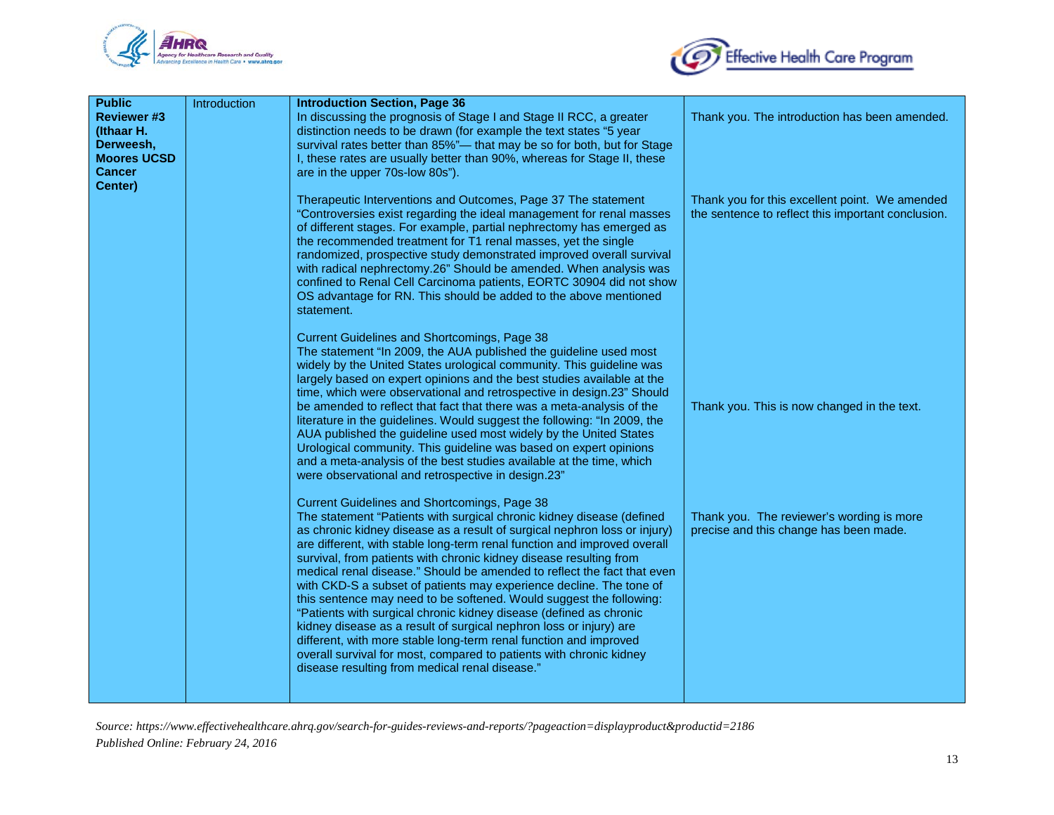



| <b>Public</b>                    | Introduction | <b>Introduction Section, Page 36</b>                                                                                                                  |                                                    |
|----------------------------------|--------------|-------------------------------------------------------------------------------------------------------------------------------------------------------|----------------------------------------------------|
| <b>Reviewer #3</b><br>(Ithaar H. |              | In discussing the prognosis of Stage I and Stage II RCC, a greater<br>distinction needs to be drawn (for example the text states "5 year              | Thank you. The introduction has been amended.      |
| Derweesh,                        |              | survival rates better than 85%"- that may be so for both, but for Stage                                                                               |                                                    |
| <b>Moores UCSD</b>               |              | I, these rates are usually better than 90%, whereas for Stage II, these                                                                               |                                                    |
| <b>Cancer</b>                    |              | are in the upper 70s-low 80s").                                                                                                                       |                                                    |
| Center)                          |              |                                                                                                                                                       |                                                    |
|                                  |              | Therapeutic Interventions and Outcomes, Page 37 The statement                                                                                         | Thank you for this excellent point. We amended     |
|                                  |              | "Controversies exist regarding the ideal management for renal masses<br>of different stages. For example, partial nephrectomy has emerged as          | the sentence to reflect this important conclusion. |
|                                  |              | the recommended treatment for T1 renal masses, yet the single                                                                                         |                                                    |
|                                  |              | randomized, prospective study demonstrated improved overall survival                                                                                  |                                                    |
|                                  |              | with radical nephrectomy.26" Should be amended. When analysis was                                                                                     |                                                    |
|                                  |              | confined to Renal Cell Carcinoma patients, EORTC 30904 did not show                                                                                   |                                                    |
|                                  |              | OS advantage for RN. This should be added to the above mentioned                                                                                      |                                                    |
|                                  |              | statement.                                                                                                                                            |                                                    |
|                                  |              | <b>Current Guidelines and Shortcomings, Page 38</b>                                                                                                   |                                                    |
|                                  |              | The statement "In 2009, the AUA published the guideline used most                                                                                     |                                                    |
|                                  |              | widely by the United States urological community. This guideline was                                                                                  |                                                    |
|                                  |              | largely based on expert opinions and the best studies available at the                                                                                |                                                    |
|                                  |              | time, which were observational and retrospective in design.23" Should                                                                                 |                                                    |
|                                  |              | be amended to reflect that fact that there was a meta-analysis of the                                                                                 | Thank you. This is now changed in the text.        |
|                                  |              | literature in the guidelines. Would suggest the following: "In 2009, the<br>AUA published the guideline used most widely by the United States         |                                                    |
|                                  |              | Urological community. This guideline was based on expert opinions                                                                                     |                                                    |
|                                  |              | and a meta-analysis of the best studies available at the time, which                                                                                  |                                                    |
|                                  |              | were observational and retrospective in design.23"                                                                                                    |                                                    |
|                                  |              |                                                                                                                                                       |                                                    |
|                                  |              | Current Guidelines and Shortcomings, Page 38                                                                                                          |                                                    |
|                                  |              | The statement "Patients with surgical chronic kidney disease (defined                                                                                 | Thank you. The reviewer's wording is more          |
|                                  |              | as chronic kidney disease as a result of surgical nephron loss or injury)<br>are different, with stable long-term renal function and improved overall | precise and this change has been made.             |
|                                  |              | survival, from patients with chronic kidney disease resulting from                                                                                    |                                                    |
|                                  |              | medical renal disease." Should be amended to reflect the fact that even                                                                               |                                                    |
|                                  |              | with CKD-S a subset of patients may experience decline. The tone of                                                                                   |                                                    |
|                                  |              | this sentence may need to be softened. Would suggest the following:                                                                                   |                                                    |
|                                  |              | "Patients with surgical chronic kidney disease (defined as chronic                                                                                    |                                                    |
|                                  |              | kidney disease as a result of surgical nephron loss or injury) are                                                                                    |                                                    |
|                                  |              | different, with more stable long-term renal function and improved                                                                                     |                                                    |
|                                  |              | overall survival for most, compared to patients with chronic kidney<br>disease resulting from medical renal disease."                                 |                                                    |
|                                  |              |                                                                                                                                                       |                                                    |
|                                  |              |                                                                                                                                                       |                                                    |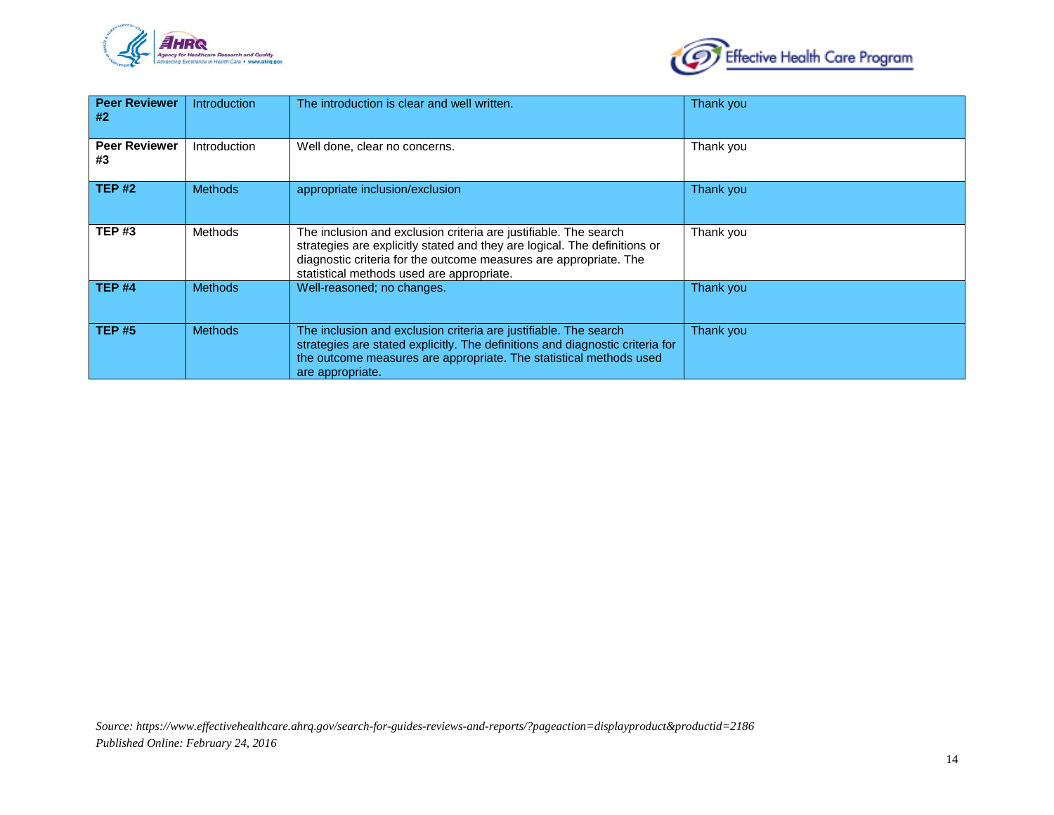



| <b>Peer Reviewer</b><br>#2 | Introduction   | The introduction is clear and well written.                                                                                                                                                                                                                     | Thank you |
|----------------------------|----------------|-----------------------------------------------------------------------------------------------------------------------------------------------------------------------------------------------------------------------------------------------------------------|-----------|
| <b>Peer Reviewer</b><br>#3 | Introduction   | Well done, clear no concerns.                                                                                                                                                                                                                                   | Thank you |
| <b>TEP#2</b>               | <b>Methods</b> | appropriate inclusion/exclusion                                                                                                                                                                                                                                 | Thank you |
| <b>TEP#3</b>               | Methods        | The inclusion and exclusion criteria are justifiable. The search<br>strategies are explicitly stated and they are logical. The definitions or<br>diagnostic criteria for the outcome measures are appropriate. The<br>statistical methods used are appropriate. | Thank you |
| <b>TEP #4</b>              | <b>Methods</b> | Well-reasoned; no changes.                                                                                                                                                                                                                                      | Thank you |
| <b>TEP #5</b>              | <b>Methods</b> | The inclusion and exclusion criteria are justifiable. The search<br>strategies are stated explicitly. The definitions and diagnostic criteria for<br>the outcome measures are appropriate. The statistical methods used<br>are appropriate.                     | Thank you |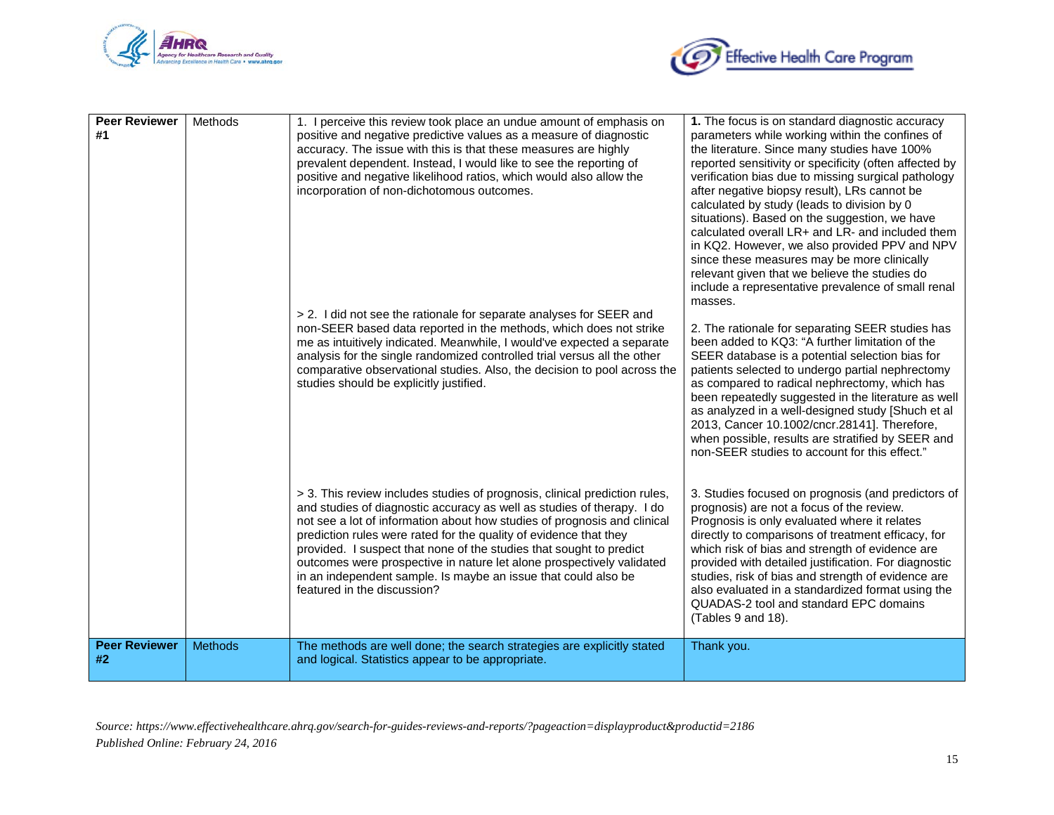



| <b>Peer Reviewer</b><br>#1 | Methods        | 1. I perceive this review took place an undue amount of emphasis on<br>positive and negative predictive values as a measure of diagnostic<br>accuracy. The issue with this is that these measures are highly<br>prevalent dependent. Instead, I would like to see the reporting of<br>positive and negative likelihood ratios, which would also allow the<br>incorporation of non-dichotomous outcomes.                                                                                                                                                | 1. The focus is on standard diagnostic accuracy<br>parameters while working within the confines of<br>the literature. Since many studies have 100%<br>reported sensitivity or specificity (often affected by<br>verification bias due to missing surgical pathology<br>after negative biopsy result), LRs cannot be<br>calculated by study (leads to division by 0<br>situations). Based on the suggestion, we have<br>calculated overall LR+ and LR- and included them<br>in KQ2. However, we also provided PPV and NPV<br>since these measures may be more clinically<br>relevant given that we believe the studies do<br>include a representative prevalence of small renal<br>masses. |
|----------------------------|----------------|--------------------------------------------------------------------------------------------------------------------------------------------------------------------------------------------------------------------------------------------------------------------------------------------------------------------------------------------------------------------------------------------------------------------------------------------------------------------------------------------------------------------------------------------------------|-------------------------------------------------------------------------------------------------------------------------------------------------------------------------------------------------------------------------------------------------------------------------------------------------------------------------------------------------------------------------------------------------------------------------------------------------------------------------------------------------------------------------------------------------------------------------------------------------------------------------------------------------------------------------------------------|
|                            |                | > 2. I did not see the rationale for separate analyses for SEER and<br>non-SEER based data reported in the methods, which does not strike<br>me as intuitively indicated. Meanwhile, I would've expected a separate<br>analysis for the single randomized controlled trial versus all the other<br>comparative observational studies. Also, the decision to pool across the<br>studies should be explicitly justified.                                                                                                                                 | 2. The rationale for separating SEER studies has<br>been added to KQ3: "A further limitation of the<br>SEER database is a potential selection bias for<br>patients selected to undergo partial nephrectomy<br>as compared to radical nephrectomy, which has<br>been repeatedly suggested in the literature as well<br>as analyzed in a well-designed study [Shuch et al<br>2013, Cancer 10.1002/cncr.28141]. Therefore,<br>when possible, results are stratified by SEER and<br>non-SEER studies to account for this effect."                                                                                                                                                             |
|                            |                | > 3. This review includes studies of prognosis, clinical prediction rules,<br>and studies of diagnostic accuracy as well as studies of therapy. I do<br>not see a lot of information about how studies of prognosis and clinical<br>prediction rules were rated for the quality of evidence that they<br>provided. I suspect that none of the studies that sought to predict<br>outcomes were prospective in nature let alone prospectively validated<br>in an independent sample. Is maybe an issue that could also be<br>featured in the discussion? | 3. Studies focused on prognosis (and predictors of<br>prognosis) are not a focus of the review.<br>Prognosis is only evaluated where it relates<br>directly to comparisons of treatment efficacy, for<br>which risk of bias and strength of evidence are<br>provided with detailed justification. For diagnostic<br>studies, risk of bias and strength of evidence are<br>also evaluated in a standardized format using the<br>QUADAS-2 tool and standard EPC domains<br>(Tables 9 and 18).                                                                                                                                                                                               |
| <b>Peer Reviewer</b><br>#2 | <b>Methods</b> | The methods are well done; the search strategies are explicitly stated<br>and logical. Statistics appear to be appropriate.                                                                                                                                                                                                                                                                                                                                                                                                                            | Thank you.                                                                                                                                                                                                                                                                                                                                                                                                                                                                                                                                                                                                                                                                                |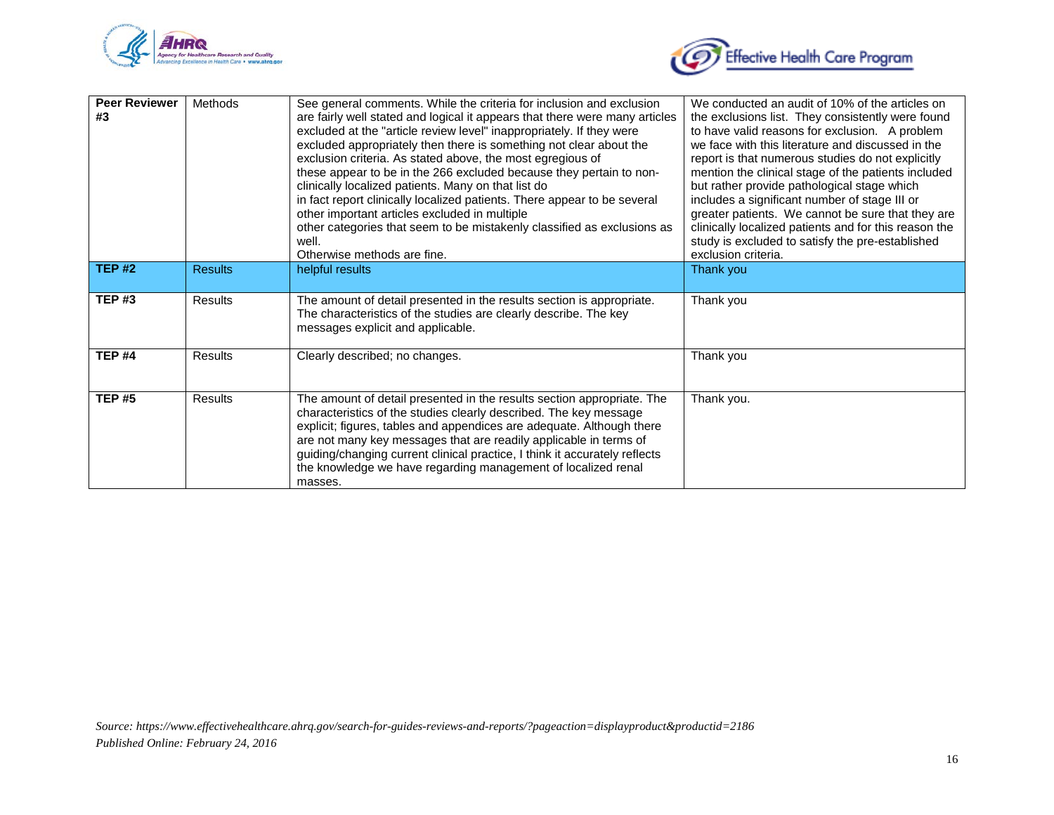



| <b>Peer Reviewer</b><br>#3 | Methods        | See general comments. While the criteria for inclusion and exclusion<br>are fairly well stated and logical it appears that there were many articles<br>excluded at the "article review level" inappropriately. If they were<br>excluded appropriately then there is something not clear about the<br>exclusion criteria. As stated above, the most egregious of<br>these appear to be in the 266 excluded because they pertain to non-<br>clinically localized patients. Many on that list do<br>in fact report clinically localized patients. There appear to be several<br>other important articles excluded in multiple<br>other categories that seem to be mistakenly classified as exclusions as<br>well.<br>Otherwise methods are fine. | We conducted an audit of 10% of the articles on<br>the exclusions list. They consistently were found<br>to have valid reasons for exclusion. A problem<br>we face with this literature and discussed in the<br>report is that numerous studies do not explicitly<br>mention the clinical stage of the patients included<br>but rather provide pathological stage which<br>includes a significant number of stage III or<br>greater patients. We cannot be sure that they are<br>clinically localized patients and for this reason the<br>study is excluded to satisfy the pre-established<br>exclusion criteria. |
|----------------------------|----------------|-----------------------------------------------------------------------------------------------------------------------------------------------------------------------------------------------------------------------------------------------------------------------------------------------------------------------------------------------------------------------------------------------------------------------------------------------------------------------------------------------------------------------------------------------------------------------------------------------------------------------------------------------------------------------------------------------------------------------------------------------|------------------------------------------------------------------------------------------------------------------------------------------------------------------------------------------------------------------------------------------------------------------------------------------------------------------------------------------------------------------------------------------------------------------------------------------------------------------------------------------------------------------------------------------------------------------------------------------------------------------|
| <b>TEP #2</b>              | <b>Results</b> | helpful results                                                                                                                                                                                                                                                                                                                                                                                                                                                                                                                                                                                                                                                                                                                               | Thank you                                                                                                                                                                                                                                                                                                                                                                                                                                                                                                                                                                                                        |
| <b>TEP#3</b>               | <b>Results</b> | The amount of detail presented in the results section is appropriate.<br>The characteristics of the studies are clearly describe. The key<br>messages explicit and applicable.                                                                                                                                                                                                                                                                                                                                                                                                                                                                                                                                                                | Thank you                                                                                                                                                                                                                                                                                                                                                                                                                                                                                                                                                                                                        |
| <b>TEP#4</b>               | <b>Results</b> | Clearly described; no changes.                                                                                                                                                                                                                                                                                                                                                                                                                                                                                                                                                                                                                                                                                                                | Thank you                                                                                                                                                                                                                                                                                                                                                                                                                                                                                                                                                                                                        |
| <b>TEP#5</b>               | <b>Results</b> | The amount of detail presented in the results section appropriate. The<br>characteristics of the studies clearly described. The key message<br>explicit; figures, tables and appendices are adequate. Although there<br>are not many key messages that are readily applicable in terms of<br>guiding/changing current clinical practice, I think it accurately reflects<br>the knowledge we have regarding management of localized renal<br>masses.                                                                                                                                                                                                                                                                                           | Thank you.                                                                                                                                                                                                                                                                                                                                                                                                                                                                                                                                                                                                       |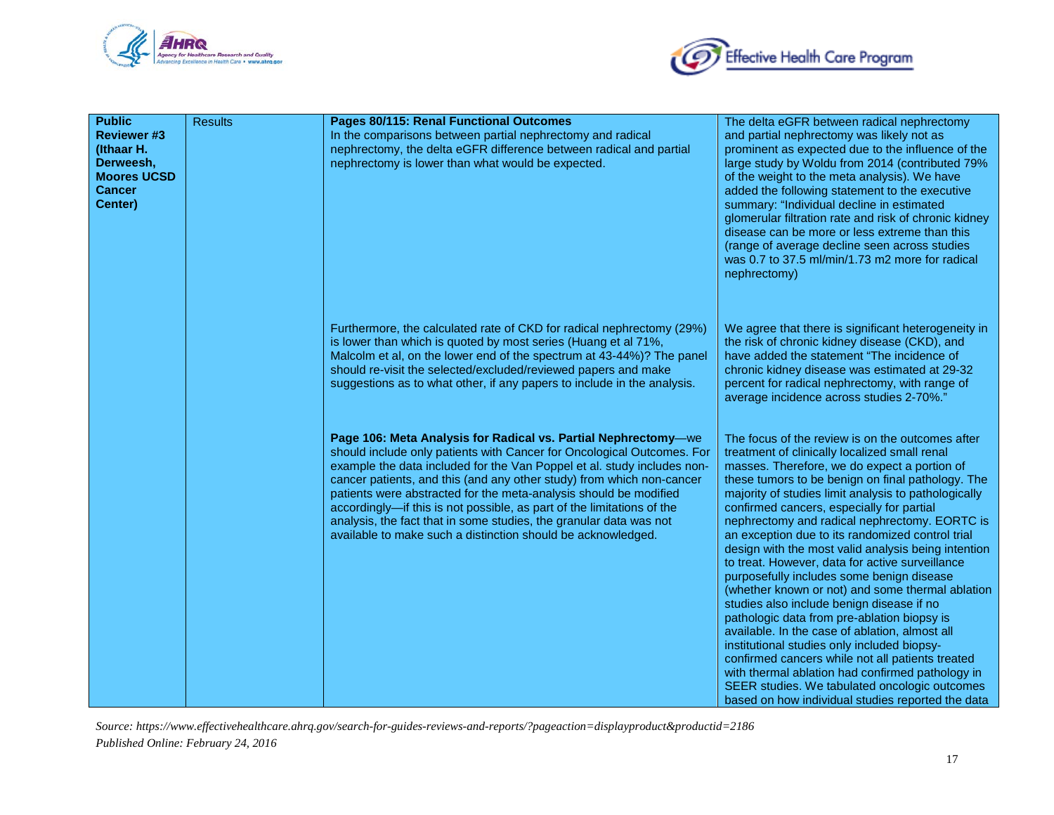



| <b>Public</b><br><b>Reviewer #3</b><br>(Ithaar H.<br>Derweesh,<br><b>Moores UCSD</b><br><b>Cancer</b><br>Center) | <b>Results</b> | Pages 80/115: Renal Functional Outcomes<br>In the comparisons between partial nephrectomy and radical<br>nephrectomy, the delta eGFR difference between radical and partial<br>nephrectomy is lower than what would be expected.                                                                                                                                                                                                                                                                                                                                                  | The delta eGFR between radical nephrectomy<br>and partial nephrectomy was likely not as<br>prominent as expected due to the influence of the<br>large study by Woldu from 2014 (contributed 79%<br>of the weight to the meta analysis). We have<br>added the following statement to the executive<br>summary: "Individual decline in estimated<br>glomerular filtration rate and risk of chronic kidney<br>disease can be more or less extreme than this<br>(range of average decline seen across studies<br>was 0.7 to 37.5 ml/min/1.73 m2 more for radical<br>nephrectomy)                                                                                                                                                                                                                                                                                                                                                                                                                                                           |
|------------------------------------------------------------------------------------------------------------------|----------------|-----------------------------------------------------------------------------------------------------------------------------------------------------------------------------------------------------------------------------------------------------------------------------------------------------------------------------------------------------------------------------------------------------------------------------------------------------------------------------------------------------------------------------------------------------------------------------------|----------------------------------------------------------------------------------------------------------------------------------------------------------------------------------------------------------------------------------------------------------------------------------------------------------------------------------------------------------------------------------------------------------------------------------------------------------------------------------------------------------------------------------------------------------------------------------------------------------------------------------------------------------------------------------------------------------------------------------------------------------------------------------------------------------------------------------------------------------------------------------------------------------------------------------------------------------------------------------------------------------------------------------------|
|                                                                                                                  |                | Furthermore, the calculated rate of CKD for radical nephrectomy (29%)<br>is lower than which is quoted by most series (Huang et al 71%,<br>Malcolm et al, on the lower end of the spectrum at 43-44%)? The panel<br>should re-visit the selected/excluded/reviewed papers and make<br>suggestions as to what other, if any papers to include in the analysis.                                                                                                                                                                                                                     | We agree that there is significant heterogeneity in<br>the risk of chronic kidney disease (CKD), and<br>have added the statement "The incidence of<br>chronic kidney disease was estimated at 29-32<br>percent for radical nephrectomy, with range of<br>average incidence across studies 2-70%."                                                                                                                                                                                                                                                                                                                                                                                                                                                                                                                                                                                                                                                                                                                                      |
|                                                                                                                  |                | Page 106: Meta Analysis for Radical vs. Partial Nephrectomy-we<br>should include only patients with Cancer for Oncological Outcomes. For<br>example the data included for the Van Poppel et al. study includes non-<br>cancer patients, and this (and any other study) from which non-cancer<br>patients were abstracted for the meta-analysis should be modified<br>accordingly-if this is not possible, as part of the limitations of the<br>analysis, the fact that in some studies, the granular data was not<br>available to make such a distinction should be acknowledged. | The focus of the review is on the outcomes after<br>treatment of clinically localized small renal<br>masses. Therefore, we do expect a portion of<br>these tumors to be benign on final pathology. The<br>majority of studies limit analysis to pathologically<br>confirmed cancers, especially for partial<br>nephrectomy and radical nephrectomy. EORTC is<br>an exception due to its randomized control trial<br>design with the most valid analysis being intention<br>to treat. However, data for active surveillance<br>purposefully includes some benign disease<br>(whether known or not) and some thermal ablation<br>studies also include benign disease if no<br>pathologic data from pre-ablation biopsy is<br>available. In the case of ablation, almost all<br>institutional studies only included biopsy-<br>confirmed cancers while not all patients treated<br>with thermal ablation had confirmed pathology in<br>SEER studies. We tabulated oncologic outcomes<br>based on how individual studies reported the data |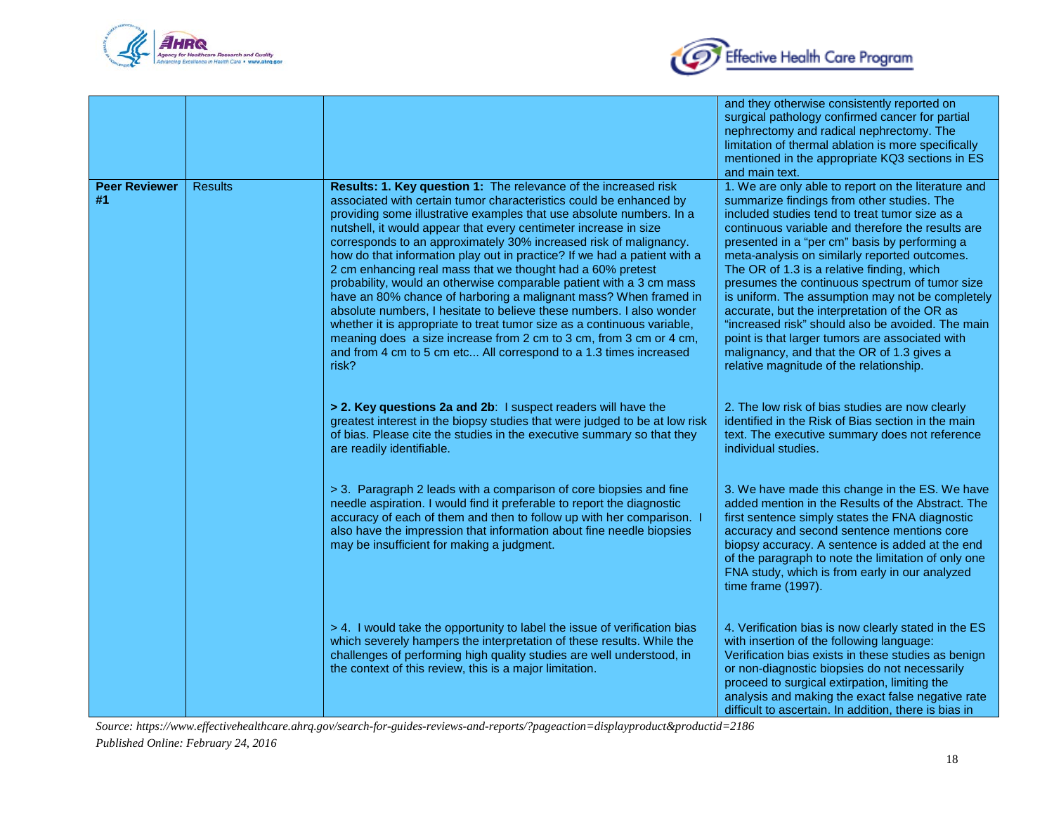



|                            |                |                                                                                                                                                                                                                                                                                                                                                                                                                                                                                                                                                                                                                                                                                                                                                                                                                                                                                                                                                    | and they otherwise consistently reported on<br>surgical pathology confirmed cancer for partial<br>nephrectomy and radical nephrectomy. The<br>limitation of thermal ablation is more specifically<br>mentioned in the appropriate KQ3 sections in ES<br>and main text.                                                                                                                                                                                                                                                                                                                                                                                                                                           |
|----------------------------|----------------|----------------------------------------------------------------------------------------------------------------------------------------------------------------------------------------------------------------------------------------------------------------------------------------------------------------------------------------------------------------------------------------------------------------------------------------------------------------------------------------------------------------------------------------------------------------------------------------------------------------------------------------------------------------------------------------------------------------------------------------------------------------------------------------------------------------------------------------------------------------------------------------------------------------------------------------------------|------------------------------------------------------------------------------------------------------------------------------------------------------------------------------------------------------------------------------------------------------------------------------------------------------------------------------------------------------------------------------------------------------------------------------------------------------------------------------------------------------------------------------------------------------------------------------------------------------------------------------------------------------------------------------------------------------------------|
| <b>Peer Reviewer</b><br>#1 | <b>Results</b> | Results: 1. Key question 1: The relevance of the increased risk<br>associated with certain tumor characteristics could be enhanced by<br>providing some illustrative examples that use absolute numbers. In a<br>nutshell, it would appear that every centimeter increase in size<br>corresponds to an approximately 30% increased risk of malignancy.<br>how do that information play out in practice? If we had a patient with a<br>2 cm enhancing real mass that we thought had a 60% pretest<br>probability, would an otherwise comparable patient with a 3 cm mass<br>have an 80% chance of harboring a malignant mass? When framed in<br>absolute numbers, I hesitate to believe these numbers. I also wonder<br>whether it is appropriate to treat tumor size as a continuous variable,<br>meaning does a size increase from 2 cm to 3 cm, from 3 cm or 4 cm,<br>and from 4 cm to 5 cm etc All correspond to a 1.3 times increased<br>risk? | 1. We are only able to report on the literature and<br>summarize findings from other studies. The<br>included studies tend to treat tumor size as a<br>continuous variable and therefore the results are<br>presented in a "per cm" basis by performing a<br>meta-analysis on similarly reported outcomes.<br>The OR of 1.3 is a relative finding, which<br>presumes the continuous spectrum of tumor size<br>is uniform. The assumption may not be completely<br>accurate, but the interpretation of the OR as<br>"increased risk" should also be avoided. The main<br>point is that larger tumors are associated with<br>malignancy, and that the OR of 1.3 gives a<br>relative magnitude of the relationship. |
|                            |                | > 2. Key questions 2a and 2b: I suspect readers will have the<br>greatest interest in the biopsy studies that were judged to be at low risk<br>of bias. Please cite the studies in the executive summary so that they<br>are readily identifiable.                                                                                                                                                                                                                                                                                                                                                                                                                                                                                                                                                                                                                                                                                                 | 2. The low risk of bias studies are now clearly<br>identified in the Risk of Bias section in the main<br>text. The executive summary does not reference<br>individual studies.                                                                                                                                                                                                                                                                                                                                                                                                                                                                                                                                   |
|                            |                | > 3. Paragraph 2 leads with a comparison of core biopsies and fine<br>needle aspiration. I would find it preferable to report the diagnostic<br>accuracy of each of them and then to follow up with her comparison. I<br>also have the impression that information about fine needle biopsies<br>may be insufficient for making a judgment.                                                                                                                                                                                                                                                                                                                                                                                                                                                                                                                                                                                                        | 3. We have made this change in the ES. We have<br>added mention in the Results of the Abstract. The<br>first sentence simply states the FNA diagnostic<br>accuracy and second sentence mentions core<br>biopsy accuracy. A sentence is added at the end<br>of the paragraph to note the limitation of only one<br>FNA study, which is from early in our analyzed<br>time frame (1997).                                                                                                                                                                                                                                                                                                                           |
|                            |                | > 4. I would take the opportunity to label the issue of verification bias<br>which severely hampers the interpretation of these results. While the<br>challenges of performing high quality studies are well understood, in<br>the context of this review, this is a major limitation.                                                                                                                                                                                                                                                                                                                                                                                                                                                                                                                                                                                                                                                             | 4. Verification bias is now clearly stated in the ES<br>with insertion of the following language:<br>Verification bias exists in these studies as benign<br>or non-diagnostic biopsies do not necessarily<br>proceed to surgical extirpation, limiting the<br>analysis and making the exact false negative rate<br>difficult to ascertain. In addition, there is bias in                                                                                                                                                                                                                                                                                                                                         |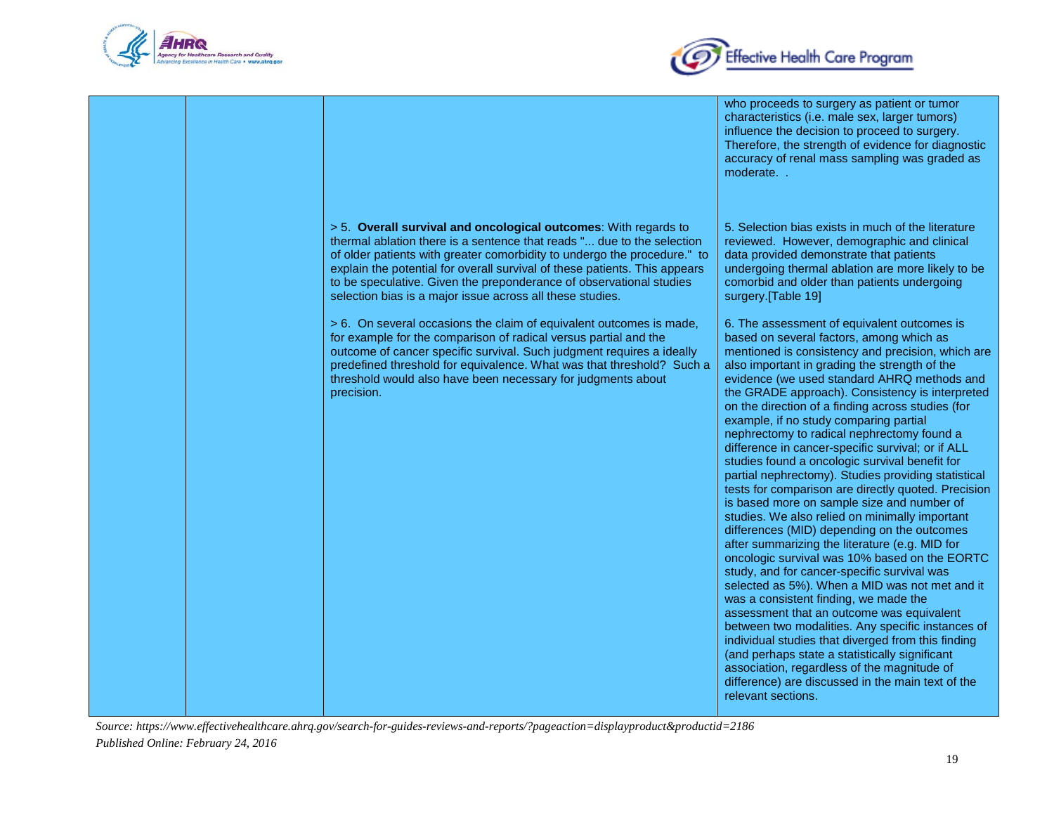



|                                                                                                                                                                                                                                                                                                                                                                                                                                         | who proceeds to surgery as patient or tumor<br>characteristics (i.e. male sex, larger tumors)<br>influence the decision to proceed to surgery.<br>Therefore, the strength of evidence for diagnostic<br>accuracy of renal mass sampling was graded as<br>moderate                                                                                                                                                                                                                                                                                                                                                                                                                                                                                                                                                                                                                                                                                                                                                                                                                                                                                                                                                                                                                                                                                                                                 |
|-----------------------------------------------------------------------------------------------------------------------------------------------------------------------------------------------------------------------------------------------------------------------------------------------------------------------------------------------------------------------------------------------------------------------------------------|---------------------------------------------------------------------------------------------------------------------------------------------------------------------------------------------------------------------------------------------------------------------------------------------------------------------------------------------------------------------------------------------------------------------------------------------------------------------------------------------------------------------------------------------------------------------------------------------------------------------------------------------------------------------------------------------------------------------------------------------------------------------------------------------------------------------------------------------------------------------------------------------------------------------------------------------------------------------------------------------------------------------------------------------------------------------------------------------------------------------------------------------------------------------------------------------------------------------------------------------------------------------------------------------------------------------------------------------------------------------------------------------------|
| > 5. Overall survival and oncological outcomes: With regards to<br>thermal ablation there is a sentence that reads " due to the selection<br>of older patients with greater comorbidity to undergo the procedure." to<br>explain the potential for overall survival of these patients. This appears<br>to be speculative. Given the preponderance of observational studies<br>selection bias is a major issue across all these studies. | 5. Selection bias exists in much of the literature<br>reviewed. However, demographic and clinical<br>data provided demonstrate that patients<br>undergoing thermal ablation are more likely to be<br>comorbid and older than patients undergoing<br>surgery.[Table 19]                                                                                                                                                                                                                                                                                                                                                                                                                                                                                                                                                                                                                                                                                                                                                                                                                                                                                                                                                                                                                                                                                                                            |
| > 6. On several occasions the claim of equivalent outcomes is made,<br>for example for the comparison of radical versus partial and the<br>outcome of cancer specific survival. Such judgment requires a ideally<br>predefined threshold for equivalence. What was that threshold? Such a<br>threshold would also have been necessary for judgments about<br>precision.                                                                 | 6. The assessment of equivalent outcomes is<br>based on several factors, among which as<br>mentioned is consistency and precision, which are<br>also important in grading the strength of the<br>evidence (we used standard AHRQ methods and<br>the GRADE approach). Consistency is interpreted<br>on the direction of a finding across studies (for<br>example, if no study comparing partial<br>nephrectomy to radical nephrectomy found a<br>difference in cancer-specific survival; or if ALL<br>studies found a oncologic survival benefit for<br>partial nephrectomy). Studies providing statistical<br>tests for comparison are directly quoted. Precision<br>is based more on sample size and number of<br>studies. We also relied on minimally important<br>differences (MID) depending on the outcomes<br>after summarizing the literature (e.g. MID for<br>oncologic survival was 10% based on the EORTC<br>study, and for cancer-specific survival was<br>selected as 5%). When a MID was not met and it<br>was a consistent finding, we made the<br>assessment that an outcome was equivalent<br>between two modalities. Any specific instances of<br>individual studies that diverged from this finding<br>(and perhaps state a statistically significant<br>association, regardless of the magnitude of<br>difference) are discussed in the main text of the<br>relevant sections. |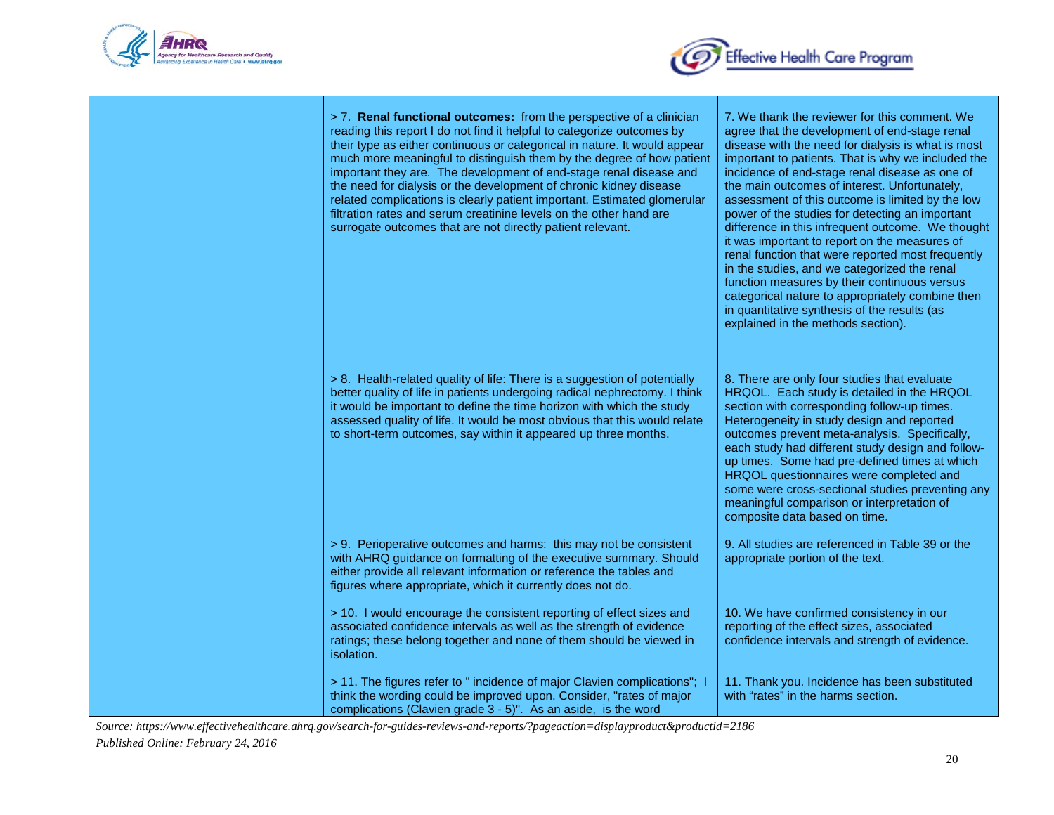



|  | > 7. Renal functional outcomes: from the perspective of a clinician<br>reading this report I do not find it helpful to categorize outcomes by<br>their type as either continuous or categorical in nature. It would appear<br>much more meaningful to distinguish them by the degree of how patient<br>important they are. The development of end-stage renal disease and<br>the need for dialysis or the development of chronic kidney disease<br>related complications is clearly patient important. Estimated glomerular<br>filtration rates and serum creatinine levels on the other hand are<br>surrogate outcomes that are not directly patient relevant. | 7. We thank the reviewer for this comment. We<br>agree that the development of end-stage renal<br>disease with the need for dialysis is what is most<br>important to patients. That is why we included the<br>incidence of end-stage renal disease as one of<br>the main outcomes of interest. Unfortunately,<br>assessment of this outcome is limited by the low<br>power of the studies for detecting an important<br>difference in this infrequent outcome. We thought<br>it was important to report on the measures of<br>renal function that were reported most frequently<br>in the studies, and we categorized the renal<br>function measures by their continuous versus<br>categorical nature to appropriately combine then<br>in quantitative synthesis of the results (as<br>explained in the methods section). |
|--|-----------------------------------------------------------------------------------------------------------------------------------------------------------------------------------------------------------------------------------------------------------------------------------------------------------------------------------------------------------------------------------------------------------------------------------------------------------------------------------------------------------------------------------------------------------------------------------------------------------------------------------------------------------------|---------------------------------------------------------------------------------------------------------------------------------------------------------------------------------------------------------------------------------------------------------------------------------------------------------------------------------------------------------------------------------------------------------------------------------------------------------------------------------------------------------------------------------------------------------------------------------------------------------------------------------------------------------------------------------------------------------------------------------------------------------------------------------------------------------------------------|
|  | > 8. Health-related quality of life: There is a suggestion of potentially<br>better quality of life in patients undergoing radical nephrectomy. I think<br>it would be important to define the time horizon with which the study<br>assessed quality of life. It would be most obvious that this would relate<br>to short-term outcomes, say within it appeared up three months.                                                                                                                                                                                                                                                                                | 8. There are only four studies that evaluate<br>HRQOL. Each study is detailed in the HRQOL<br>section with corresponding follow-up times.<br>Heterogeneity in study design and reported<br>outcomes prevent meta-analysis. Specifically,<br>each study had different study design and follow-<br>up times. Some had pre-defined times at which<br>HRQOL questionnaires were completed and<br>some were cross-sectional studies preventing any<br>meaningful comparison or interpretation of<br>composite data based on time.                                                                                                                                                                                                                                                                                              |
|  | > 9. Perioperative outcomes and harms: this may not be consistent<br>with AHRQ guidance on formatting of the executive summary. Should<br>either provide all relevant information or reference the tables and<br>figures where appropriate, which it currently does not do.                                                                                                                                                                                                                                                                                                                                                                                     | 9. All studies are referenced in Table 39 or the<br>appropriate portion of the text.                                                                                                                                                                                                                                                                                                                                                                                                                                                                                                                                                                                                                                                                                                                                      |
|  | > 10. I would encourage the consistent reporting of effect sizes and<br>associated confidence intervals as well as the strength of evidence<br>ratings; these belong together and none of them should be viewed in<br>isolation.                                                                                                                                                                                                                                                                                                                                                                                                                                | 10. We have confirmed consistency in our<br>reporting of the effect sizes, associated<br>confidence intervals and strength of evidence.                                                                                                                                                                                                                                                                                                                                                                                                                                                                                                                                                                                                                                                                                   |
|  | > 11. The figures refer to " incidence of major Clavien complications"; I<br>think the wording could be improved upon. Consider, "rates of major<br>complications (Clavien grade 3 - 5)". As an aside, is the word                                                                                                                                                                                                                                                                                                                                                                                                                                              | 11. Thank you. Incidence has been substituted<br>with "rates" in the harms section.                                                                                                                                                                                                                                                                                                                                                                                                                                                                                                                                                                                                                                                                                                                                       |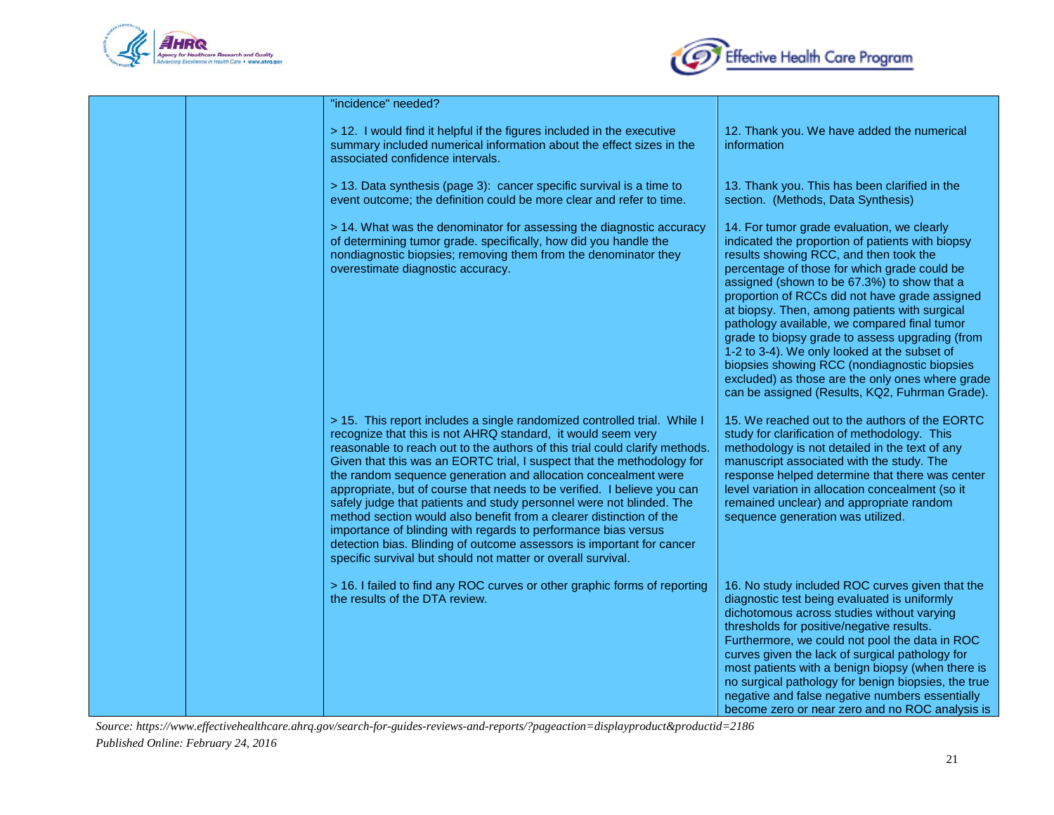



| "incidence" needed?                                                                                                                                                                                                                                                                                                                                                                                                                                                                                                                                                                                                                                                                                                                                                                                      |                                                                                                                                                                                                                                                                                                                                                                                                                                                                                                                                                                                                                                                     |
|----------------------------------------------------------------------------------------------------------------------------------------------------------------------------------------------------------------------------------------------------------------------------------------------------------------------------------------------------------------------------------------------------------------------------------------------------------------------------------------------------------------------------------------------------------------------------------------------------------------------------------------------------------------------------------------------------------------------------------------------------------------------------------------------------------|-----------------------------------------------------------------------------------------------------------------------------------------------------------------------------------------------------------------------------------------------------------------------------------------------------------------------------------------------------------------------------------------------------------------------------------------------------------------------------------------------------------------------------------------------------------------------------------------------------------------------------------------------------|
| > 12. I would find it helpful if the figures included in the executive<br>summary included numerical information about the effect sizes in the<br>associated confidence intervals.                                                                                                                                                                                                                                                                                                                                                                                                                                                                                                                                                                                                                       | 12. Thank you. We have added the numerical<br>information                                                                                                                                                                                                                                                                                                                                                                                                                                                                                                                                                                                           |
| > 13. Data synthesis (page 3): cancer specific survival is a time to<br>event outcome; the definition could be more clear and refer to time.                                                                                                                                                                                                                                                                                                                                                                                                                                                                                                                                                                                                                                                             | 13. Thank you. This has been clarified in the<br>section. (Methods, Data Synthesis)                                                                                                                                                                                                                                                                                                                                                                                                                                                                                                                                                                 |
| > 14. What was the denominator for assessing the diagnostic accuracy<br>of determining tumor grade. specifically, how did you handle the<br>nondiagnostic biopsies; removing them from the denominator they<br>overestimate diagnostic accuracy.                                                                                                                                                                                                                                                                                                                                                                                                                                                                                                                                                         | 14. For tumor grade evaluation, we clearly<br>indicated the proportion of patients with biopsy<br>results showing RCC, and then took the<br>percentage of those for which grade could be<br>assigned (shown to be 67.3%) to show that a<br>proportion of RCCs did not have grade assigned<br>at biopsy. Then, among patients with surgical<br>pathology available, we compared final tumor<br>grade to biopsy grade to assess upgrading (from<br>1-2 to 3-4). We only looked at the subset of<br>biopsies showing RCC (nondiagnostic biopsies<br>excluded) as those are the only ones where grade<br>can be assigned (Results, KQ2, Fuhrman Grade). |
| > 15. This report includes a single randomized controlled trial. While I<br>recognize that this is not AHRQ standard, it would seem very<br>reasonable to reach out to the authors of this trial could clarify methods.<br>Given that this was an EORTC trial, I suspect that the methodology for<br>the random sequence generation and allocation concealment were<br>appropriate, but of course that needs to be verified. I believe you can<br>safely judge that patients and study personnel were not blinded. The<br>method section would also benefit from a clearer distinction of the<br>importance of blinding with regards to performance bias versus<br>detection bias. Blinding of outcome assessors is important for cancer<br>specific survival but should not matter or overall survival. | 15. We reached out to the authors of the EORTC<br>study for clarification of methodology. This<br>methodology is not detailed in the text of any<br>manuscript associated with the study. The<br>response helped determine that there was center<br>level variation in allocation concealment (so it<br>remained unclear) and appropriate random<br>sequence generation was utilized.                                                                                                                                                                                                                                                               |
| > 16. I failed to find any ROC curves or other graphic forms of reporting<br>the results of the DTA review.                                                                                                                                                                                                                                                                                                                                                                                                                                                                                                                                                                                                                                                                                              | 16. No study included ROC curves given that the<br>diagnostic test being evaluated is uniformly<br>dichotomous across studies without varying<br>thresholds for positive/negative results.<br>Furthermore, we could not pool the data in ROC<br>curves given the lack of surgical pathology for<br>most patients with a benign biopsy (when there is<br>no surgical pathology for benign biopsies, the true<br>negative and false negative numbers essentially<br>become zero or near zero and no ROC analysis is                                                                                                                                   |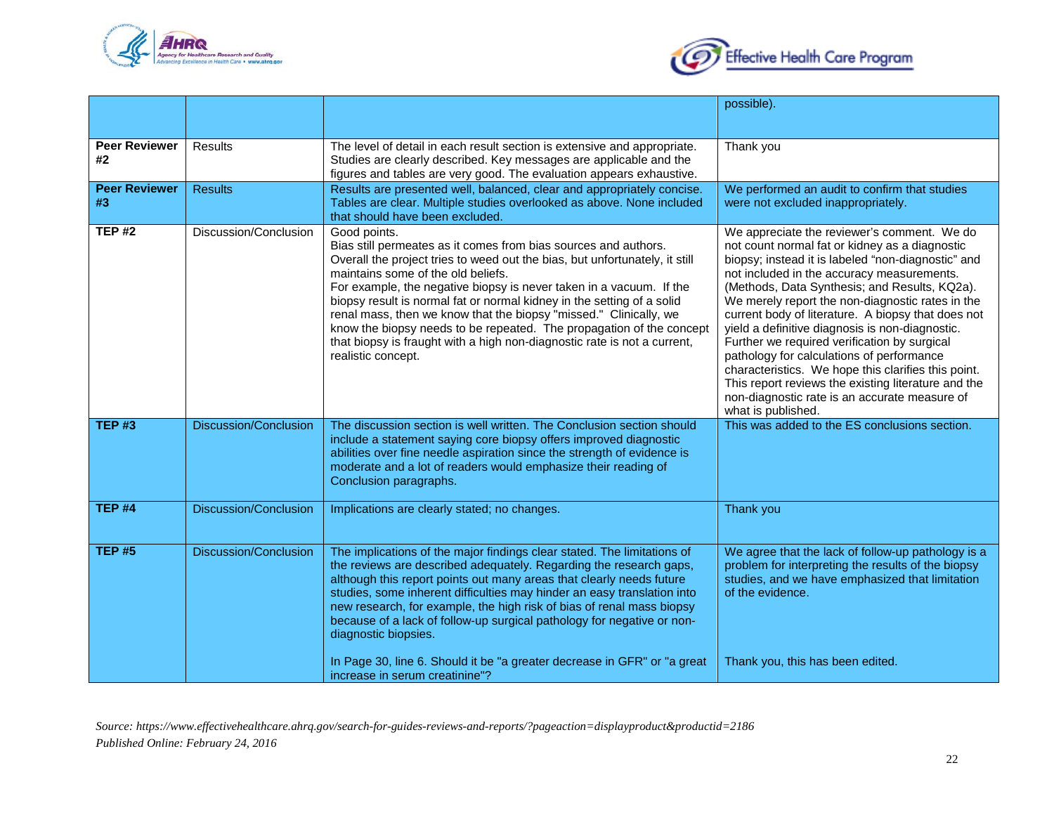



|                            |                              |                                                                                                                                                                                                                                                                                                                                                                                                                                                                                                                                                                                                      | possible).                                                                                                                                                                                                                                                                                                                                                                                                                                                                                                                                                                                                                                                                                        |
|----------------------------|------------------------------|------------------------------------------------------------------------------------------------------------------------------------------------------------------------------------------------------------------------------------------------------------------------------------------------------------------------------------------------------------------------------------------------------------------------------------------------------------------------------------------------------------------------------------------------------------------------------------------------------|---------------------------------------------------------------------------------------------------------------------------------------------------------------------------------------------------------------------------------------------------------------------------------------------------------------------------------------------------------------------------------------------------------------------------------------------------------------------------------------------------------------------------------------------------------------------------------------------------------------------------------------------------------------------------------------------------|
|                            |                              |                                                                                                                                                                                                                                                                                                                                                                                                                                                                                                                                                                                                      |                                                                                                                                                                                                                                                                                                                                                                                                                                                                                                                                                                                                                                                                                                   |
| <b>Peer Reviewer</b><br>#2 | <b>Results</b>               | The level of detail in each result section is extensive and appropriate.<br>Studies are clearly described. Key messages are applicable and the<br>figures and tables are very good. The evaluation appears exhaustive.                                                                                                                                                                                                                                                                                                                                                                               | Thank you                                                                                                                                                                                                                                                                                                                                                                                                                                                                                                                                                                                                                                                                                         |
| <b>Peer Reviewer</b><br>#3 | <b>Results</b>               | Results are presented well, balanced, clear and appropriately concise.<br>Tables are clear. Multiple studies overlooked as above. None included<br>that should have been excluded.                                                                                                                                                                                                                                                                                                                                                                                                                   | We performed an audit to confirm that studies<br>were not excluded inappropriately.                                                                                                                                                                                                                                                                                                                                                                                                                                                                                                                                                                                                               |
| <b>TEP#2</b>               | Discussion/Conclusion        | Good points.<br>Bias still permeates as it comes from bias sources and authors.<br>Overall the project tries to weed out the bias, but unfortunately, it still<br>maintains some of the old beliefs.<br>For example, the negative biopsy is never taken in a vacuum. If the<br>biopsy result is normal fat or normal kidney in the setting of a solid<br>renal mass, then we know that the biopsy "missed." Clinically, we<br>know the biopsy needs to be repeated. The propagation of the concept<br>that biopsy is fraught with a high non-diagnostic rate is not a current,<br>realistic concept. | We appreciate the reviewer's comment. We do<br>not count normal fat or kidney as a diagnostic<br>biopsy; instead it is labeled "non-diagnostic" and<br>not included in the accuracy measurements.<br>(Methods, Data Synthesis; and Results, KQ2a).<br>We merely report the non-diagnostic rates in the<br>current body of literature. A biopsy that does not<br>yield a definitive diagnosis is non-diagnostic.<br>Further we required verification by surgical<br>pathology for calculations of performance<br>characteristics. We hope this clarifies this point.<br>This report reviews the existing literature and the<br>non-diagnostic rate is an accurate measure of<br>what is published. |
| <b>TEP#3</b>               | <b>Discussion/Conclusion</b> | The discussion section is well written. The Conclusion section should<br>include a statement saying core biopsy offers improved diagnostic<br>abilities over fine needle aspiration since the strength of evidence is<br>moderate and a lot of readers would emphasize their reading of<br>Conclusion paragraphs.                                                                                                                                                                                                                                                                                    | This was added to the ES conclusions section.                                                                                                                                                                                                                                                                                                                                                                                                                                                                                                                                                                                                                                                     |
| TEP <sub>#4</sub>          | <b>Discussion/Conclusion</b> | Implications are clearly stated; no changes.                                                                                                                                                                                                                                                                                                                                                                                                                                                                                                                                                         | Thank you                                                                                                                                                                                                                                                                                                                                                                                                                                                                                                                                                                                                                                                                                         |
| <b>TEP #5</b>              | <b>Discussion/Conclusion</b> | The implications of the major findings clear stated. The limitations of<br>the reviews are described adequately. Regarding the research gaps,<br>although this report points out many areas that clearly needs future<br>studies, some inherent difficulties may hinder an easy translation into<br>new research, for example, the high risk of bias of renal mass biopsy<br>because of a lack of follow-up surgical pathology for negative or non-<br>diagnostic biopsies.<br>In Page 30, line 6. Should it be "a greater decrease in GFR" or "a great                                              | We agree that the lack of follow-up pathology is a<br>problem for interpreting the results of the biopsy<br>studies, and we have emphasized that limitation<br>of the evidence.<br>Thank you, this has been edited.                                                                                                                                                                                                                                                                                                                                                                                                                                                                               |
|                            |                              | increase in serum creatinine"?                                                                                                                                                                                                                                                                                                                                                                                                                                                                                                                                                                       |                                                                                                                                                                                                                                                                                                                                                                                                                                                                                                                                                                                                                                                                                                   |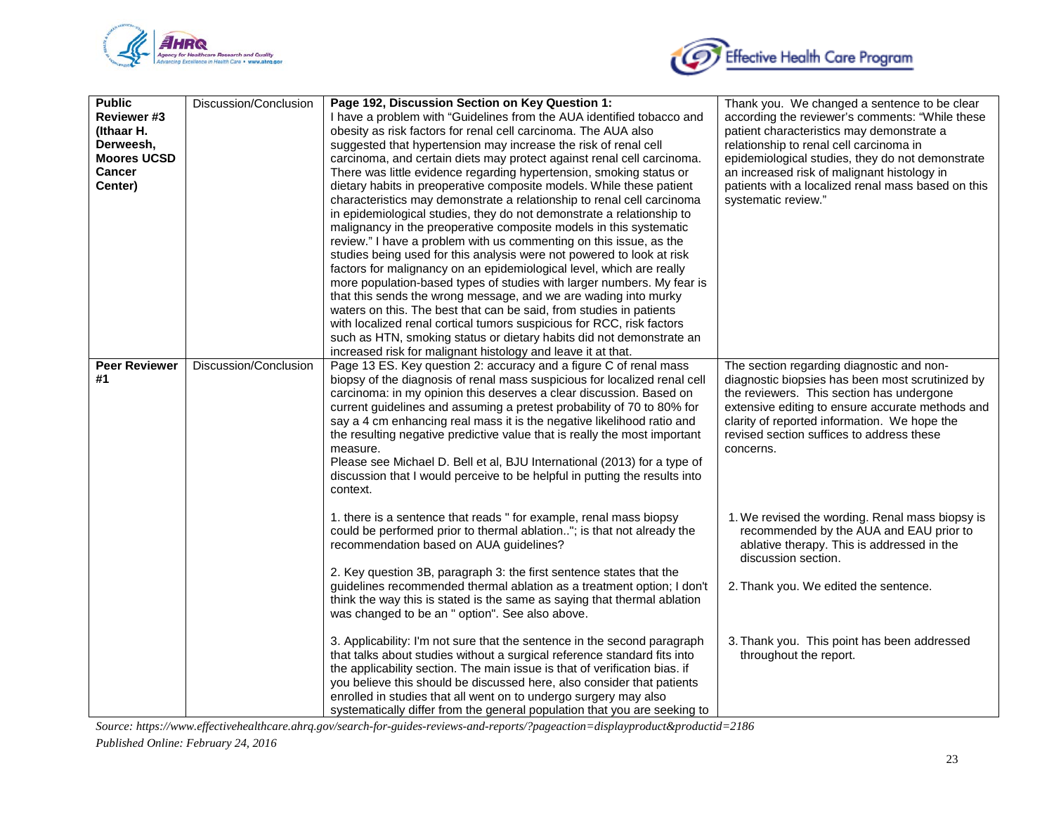



| <b>Public</b>        | Discussion/Conclusion | Page 192, Discussion Section on Key Question 1:                                                                                      | Thank you. We changed a sentence to be clear       |
|----------------------|-----------------------|--------------------------------------------------------------------------------------------------------------------------------------|----------------------------------------------------|
| Reviewer #3          |                       | I have a problem with "Guidelines from the AUA identified tobacco and                                                                | according the reviewer's comments: "While these    |
| (Ithaar H.           |                       | obesity as risk factors for renal cell carcinoma. The AUA also                                                                       | patient characteristics may demonstrate a          |
| Derweesh,            |                       | suggested that hypertension may increase the risk of renal cell                                                                      | relationship to renal cell carcinoma in            |
| <b>Moores UCSD</b>   |                       | carcinoma, and certain diets may protect against renal cell carcinoma.                                                               | epidemiological studies, they do not demonstrate   |
| <b>Cancer</b>        |                       | There was little evidence regarding hypertension, smoking status or                                                                  | an increased risk of malignant histology in        |
| Center)              |                       | dietary habits in preoperative composite models. While these patient                                                                 | patients with a localized renal mass based on this |
|                      |                       | characteristics may demonstrate a relationship to renal cell carcinoma                                                               | systematic review."                                |
|                      |                       | in epidemiological studies, they do not demonstrate a relationship to                                                                |                                                    |
|                      |                       | malignancy in the preoperative composite models in this systematic                                                                   |                                                    |
|                      |                       | review." I have a problem with us commenting on this issue, as the                                                                   |                                                    |
|                      |                       | studies being used for this analysis were not powered to look at risk                                                                |                                                    |
|                      |                       | factors for malignancy on an epidemiological level, which are really                                                                 |                                                    |
|                      |                       | more population-based types of studies with larger numbers. My fear is                                                               |                                                    |
|                      |                       | that this sends the wrong message, and we are wading into murky                                                                      |                                                    |
|                      |                       | waters on this. The best that can be said, from studies in patients                                                                  |                                                    |
|                      |                       | with localized renal cortical tumors suspicious for RCC, risk factors                                                                |                                                    |
|                      |                       | such as HTN, smoking status or dietary habits did not demonstrate an<br>increased risk for malignant histology and leave it at that. |                                                    |
| <b>Peer Reviewer</b> | Discussion/Conclusion | Page 13 ES. Key question 2: accuracy and a figure C of renal mass                                                                    | The section regarding diagnostic and non-          |
| #1                   |                       | biopsy of the diagnosis of renal mass suspicious for localized renal cell                                                            | diagnostic biopsies has been most scrutinized by   |
|                      |                       | carcinoma: in my opinion this deserves a clear discussion. Based on                                                                  | the reviewers. This section has undergone          |
|                      |                       | current guidelines and assuming a pretest probability of 70 to 80% for                                                               | extensive editing to ensure accurate methods and   |
|                      |                       | say a 4 cm enhancing real mass it is the negative likelihood ratio and                                                               | clarity of reported information. We hope the       |
|                      |                       | the resulting negative predictive value that is really the most important                                                            | revised section suffices to address these          |
|                      |                       | measure.                                                                                                                             | concerns.                                          |
|                      |                       | Please see Michael D. Bell et al, BJU International (2013) for a type of                                                             |                                                    |
|                      |                       | discussion that I would perceive to be helpful in putting the results into                                                           |                                                    |
|                      |                       | context.                                                                                                                             |                                                    |
|                      |                       |                                                                                                                                      |                                                    |
|                      |                       | 1. there is a sentence that reads " for example, renal mass biopsy                                                                   | 1. We revised the wording. Renal mass biopsy is    |
|                      |                       | could be performed prior to thermal ablation"; is that not already the                                                               | recommended by the AUA and EAU prior to            |
|                      |                       | recommendation based on AUA guidelines?                                                                                              | ablative therapy. This is addressed in the         |
|                      |                       |                                                                                                                                      | discussion section.                                |
|                      |                       | 2. Key question 3B, paragraph 3: the first sentence states that the                                                                  |                                                    |
|                      |                       | guidelines recommended thermal ablation as a treatment option; I don't                                                               | 2. Thank you. We edited the sentence.              |
|                      |                       | think the way this is stated is the same as saying that thermal ablation                                                             |                                                    |
|                      |                       | was changed to be an " option". See also above.                                                                                      |                                                    |
|                      |                       | 3. Applicability: I'm not sure that the sentence in the second paragraph                                                             | 3. Thank you. This point has been addressed        |
|                      |                       | that talks about studies without a surgical reference standard fits into                                                             | throughout the report.                             |
|                      |                       | the applicability section. The main issue is that of verification bias. if                                                           |                                                    |
|                      |                       | you believe this should be discussed here, also consider that patients                                                               |                                                    |
|                      |                       | enrolled in studies that all went on to undergo surgery may also                                                                     |                                                    |
|                      |                       | systematically differ from the general population that you are seeking to                                                            |                                                    |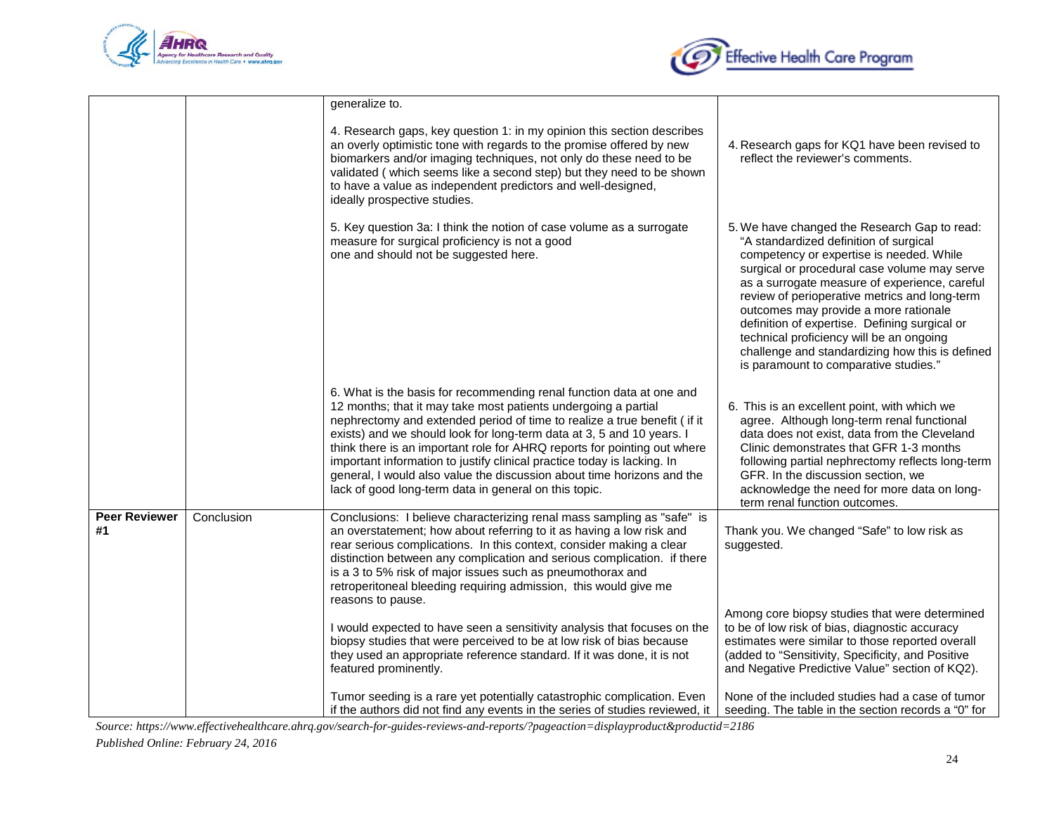



|                            |            | generalize to.                                                                                                                                                                                                                                                                                                                                                                                                                                                                                                                                                                        |                                                                                                                                                                                                                                                                                                                                                                                                                                                                                                                        |
|----------------------------|------------|---------------------------------------------------------------------------------------------------------------------------------------------------------------------------------------------------------------------------------------------------------------------------------------------------------------------------------------------------------------------------------------------------------------------------------------------------------------------------------------------------------------------------------------------------------------------------------------|------------------------------------------------------------------------------------------------------------------------------------------------------------------------------------------------------------------------------------------------------------------------------------------------------------------------------------------------------------------------------------------------------------------------------------------------------------------------------------------------------------------------|
|                            |            | 4. Research gaps, key question 1: in my opinion this section describes<br>an overly optimistic tone with regards to the promise offered by new<br>biomarkers and/or imaging techniques, not only do these need to be<br>validated (which seems like a second step) but they need to be shown<br>to have a value as independent predictors and well-designed,<br>ideally prospective studies.                                                                                                                                                                                          | 4. Research gaps for KQ1 have been revised to<br>reflect the reviewer's comments.                                                                                                                                                                                                                                                                                                                                                                                                                                      |
|                            |            | 5. Key question 3a: I think the notion of case volume as a surrogate<br>measure for surgical proficiency is not a good<br>one and should not be suggested here.                                                                                                                                                                                                                                                                                                                                                                                                                       | 5. We have changed the Research Gap to read:<br>"A standardized definition of surgical<br>competency or expertise is needed. While<br>surgical or procedural case volume may serve<br>as a surrogate measure of experience, careful<br>review of perioperative metrics and long-term<br>outcomes may provide a more rationale<br>definition of expertise. Defining surgical or<br>technical proficiency will be an ongoing<br>challenge and standardizing how this is defined<br>is paramount to comparative studies." |
|                            |            | 6. What is the basis for recommending renal function data at one and<br>12 months; that it may take most patients undergoing a partial<br>nephrectomy and extended period of time to realize a true benefit (if it<br>exists) and we should look for long-term data at 3, 5 and 10 years. I<br>think there is an important role for AHRQ reports for pointing out where<br>important information to justify clinical practice today is lacking. In<br>general, I would also value the discussion about time horizons and the<br>lack of good long-term data in general on this topic. | 6. This is an excellent point, with which we<br>agree. Although long-term renal functional<br>data does not exist, data from the Cleveland<br>Clinic demonstrates that GFR 1-3 months<br>following partial nephrectomy reflects long-term<br>GFR. In the discussion section, we<br>acknowledge the need for more data on long-<br>term renal function outcomes.                                                                                                                                                        |
| <b>Peer Reviewer</b><br>#1 | Conclusion | Conclusions: I believe characterizing renal mass sampling as "safe" is<br>an overstatement; how about referring to it as having a low risk and<br>rear serious complications. In this context, consider making a clear<br>distinction between any complication and serious complication. if there<br>is a 3 to 5% risk of major issues such as pneumothorax and<br>retroperitoneal bleeding requiring admission, this would give me<br>reasons to pause.                                                                                                                              | Thank you. We changed "Safe" to low risk as<br>suggested.                                                                                                                                                                                                                                                                                                                                                                                                                                                              |
|                            |            | I would expected to have seen a sensitivity analysis that focuses on the<br>biopsy studies that were perceived to be at low risk of bias because<br>they used an appropriate reference standard. If it was done, it is not<br>featured prominently.                                                                                                                                                                                                                                                                                                                                   | Among core biopsy studies that were determined<br>to be of low risk of bias, diagnostic accuracy<br>estimates were similar to those reported overall<br>(added to "Sensitivity, Specificity, and Positive<br>and Negative Predictive Value" section of KQ2).                                                                                                                                                                                                                                                           |
|                            |            | Tumor seeding is a rare yet potentially catastrophic complication. Even<br>if the authors did not find any events in the series of studies reviewed, it                                                                                                                                                                                                                                                                                                                                                                                                                               | None of the included studies had a case of tumor<br>seeding. The table in the section records a "0" for                                                                                                                                                                                                                                                                                                                                                                                                                |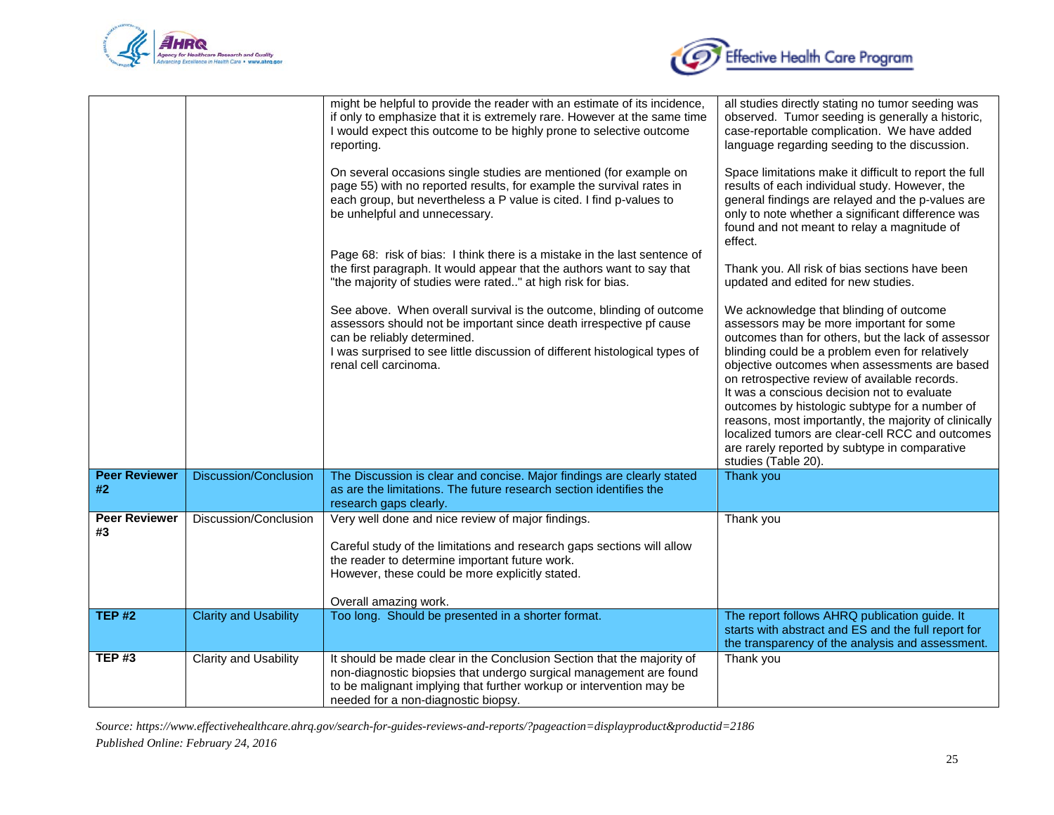



|                            |                              | might be helpful to provide the reader with an estimate of its incidence,<br>if only to emphasize that it is extremely rare. However at the same time<br>I would expect this outcome to be highly prone to selective outcome<br>reporting.<br>On several occasions single studies are mentioned (for example on<br>page 55) with no reported results, for example the survival rates in<br>each group, but nevertheless a P value is cited. I find p-values to<br>be unhelpful and unnecessary.<br>Page 68: risk of bias: I think there is a mistake in the last sentence of<br>the first paragraph. It would appear that the authors want to say that<br>"the majority of studies were rated" at high risk for bias.<br>See above. When overall survival is the outcome, blinding of outcome<br>assessors should not be important since death irrespective pf cause<br>can be reliably determined.<br>I was surprised to see little discussion of different histological types of<br>renal cell carcinoma. | all studies directly stating no tumor seeding was<br>observed. Tumor seeding is generally a historic,<br>case-reportable complication. We have added<br>language regarding seeding to the discussion.<br>Space limitations make it difficult to report the full<br>results of each individual study. However, the<br>general findings are relayed and the p-values are<br>only to note whether a significant difference was<br>found and not meant to relay a magnitude of<br>effect.<br>Thank you. All risk of bias sections have been<br>updated and edited for new studies.<br>We acknowledge that blinding of outcome<br>assessors may be more important for some<br>outcomes than for others, but the lack of assessor<br>blinding could be a problem even for relatively<br>objective outcomes when assessments are based<br>on retrospective review of available records.<br>It was a conscious decision not to evaluate<br>outcomes by histologic subtype for a number of<br>reasons, most importantly, the majority of clinically<br>localized tumors are clear-cell RCC and outcomes<br>are rarely reported by subtype in comparative<br>studies (Table 20). |
|----------------------------|------------------------------|-------------------------------------------------------------------------------------------------------------------------------------------------------------------------------------------------------------------------------------------------------------------------------------------------------------------------------------------------------------------------------------------------------------------------------------------------------------------------------------------------------------------------------------------------------------------------------------------------------------------------------------------------------------------------------------------------------------------------------------------------------------------------------------------------------------------------------------------------------------------------------------------------------------------------------------------------------------------------------------------------------------|------------------------------------------------------------------------------------------------------------------------------------------------------------------------------------------------------------------------------------------------------------------------------------------------------------------------------------------------------------------------------------------------------------------------------------------------------------------------------------------------------------------------------------------------------------------------------------------------------------------------------------------------------------------------------------------------------------------------------------------------------------------------------------------------------------------------------------------------------------------------------------------------------------------------------------------------------------------------------------------------------------------------------------------------------------------------------------------------------------------------------------------------------------------------|
| <b>Peer Reviewer</b><br>#2 | <b>Discussion/Conclusion</b> | The Discussion is clear and concise. Major findings are clearly stated<br>as are the limitations. The future research section identifies the<br>research gaps clearly.                                                                                                                                                                                                                                                                                                                                                                                                                                                                                                                                                                                                                                                                                                                                                                                                                                      | Thank you                                                                                                                                                                                                                                                                                                                                                                                                                                                                                                                                                                                                                                                                                                                                                                                                                                                                                                                                                                                                                                                                                                                                                              |
| <b>Peer Reviewer</b><br>#3 | Discussion/Conclusion        | Very well done and nice review of major findings.<br>Careful study of the limitations and research gaps sections will allow<br>the reader to determine important future work.<br>However, these could be more explicitly stated.<br>Overall amazing work.                                                                                                                                                                                                                                                                                                                                                                                                                                                                                                                                                                                                                                                                                                                                                   | Thank you                                                                                                                                                                                                                                                                                                                                                                                                                                                                                                                                                                                                                                                                                                                                                                                                                                                                                                                                                                                                                                                                                                                                                              |
| <b>TEP #2</b>              | <b>Clarity and Usability</b> | Too long. Should be presented in a shorter format.                                                                                                                                                                                                                                                                                                                                                                                                                                                                                                                                                                                                                                                                                                                                                                                                                                                                                                                                                          | The report follows AHRQ publication guide. It<br>starts with abstract and ES and the full report for<br>the transparency of the analysis and assessment.                                                                                                                                                                                                                                                                                                                                                                                                                                                                                                                                                                                                                                                                                                                                                                                                                                                                                                                                                                                                               |
| <b>TEP#3</b>               | <b>Clarity and Usability</b> | It should be made clear in the Conclusion Section that the majority of<br>non-diagnostic biopsies that undergo surgical management are found<br>to be malignant implying that further workup or intervention may be<br>needed for a non-diagnostic biopsy.                                                                                                                                                                                                                                                                                                                                                                                                                                                                                                                                                                                                                                                                                                                                                  | Thank you                                                                                                                                                                                                                                                                                                                                                                                                                                                                                                                                                                                                                                                                                                                                                                                                                                                                                                                                                                                                                                                                                                                                                              |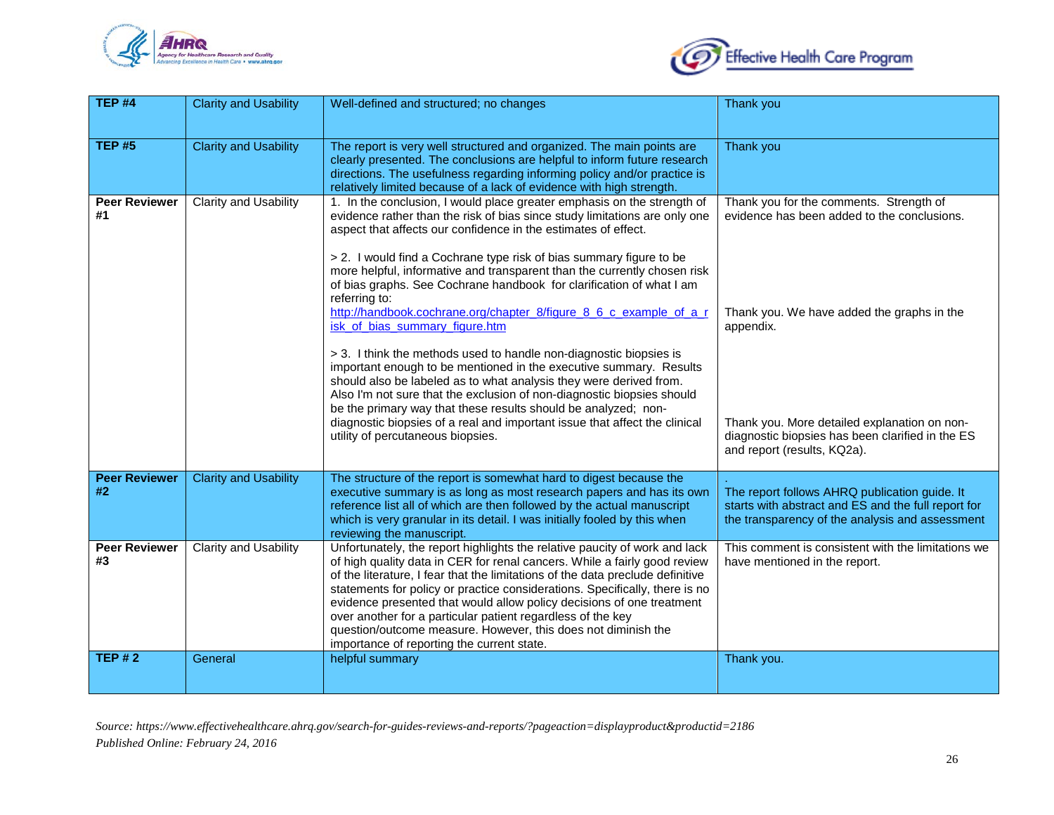



| <b>TEP #4</b>              | <b>Clarity and Usability</b> | Well-defined and structured; no changes                                                                                                                                                                                                                                                                                                                                                                                                                                                                                                                                                                                                                                                                                                                                                                                                                                                                                                                                                                                                                      | Thank you                                                                                                                                                                                                                                                                            |
|----------------------------|------------------------------|--------------------------------------------------------------------------------------------------------------------------------------------------------------------------------------------------------------------------------------------------------------------------------------------------------------------------------------------------------------------------------------------------------------------------------------------------------------------------------------------------------------------------------------------------------------------------------------------------------------------------------------------------------------------------------------------------------------------------------------------------------------------------------------------------------------------------------------------------------------------------------------------------------------------------------------------------------------------------------------------------------------------------------------------------------------|--------------------------------------------------------------------------------------------------------------------------------------------------------------------------------------------------------------------------------------------------------------------------------------|
| <b>TEP #5</b>              | <b>Clarity and Usability</b> | The report is very well structured and organized. The main points are<br>clearly presented. The conclusions are helpful to inform future research<br>directions. The usefulness regarding informing policy and/or practice is<br>relatively limited because of a lack of evidence with high strength.                                                                                                                                                                                                                                                                                                                                                                                                                                                                                                                                                                                                                                                                                                                                                        | Thank you                                                                                                                                                                                                                                                                            |
| <b>Peer Reviewer</b><br>#1 | Clarity and Usability        | 1. In the conclusion, I would place greater emphasis on the strength of<br>evidence rather than the risk of bias since study limitations are only one<br>aspect that affects our confidence in the estimates of effect.<br>> 2. I would find a Cochrane type risk of bias summary figure to be<br>more helpful, informative and transparent than the currently chosen risk<br>of bias graphs. See Cochrane handbook for clarification of what I am<br>referring to:<br>http://handbook.cochrane.org/chapter_8/figure_8_6_c_example_of_a_r<br>isk of bias summary figure.htm<br>> 3. I think the methods used to handle non-diagnostic biopsies is<br>important enough to be mentioned in the executive summary. Results<br>should also be labeled as to what analysis they were derived from.<br>Also I'm not sure that the exclusion of non-diagnostic biopsies should<br>be the primary way that these results should be analyzed; non-<br>diagnostic biopsies of a real and important issue that affect the clinical<br>utility of percutaneous biopsies. | Thank you for the comments. Strength of<br>evidence has been added to the conclusions.<br>Thank you. We have added the graphs in the<br>appendix.<br>Thank you. More detailed explanation on non-<br>diagnostic biopsies has been clarified in the ES<br>and report (results, KQ2a). |
| <b>Peer Reviewer</b><br>#2 | <b>Clarity and Usability</b> | The structure of the report is somewhat hard to digest because the<br>executive summary is as long as most research papers and has its own<br>reference list all of which are then followed by the actual manuscript<br>which is very granular in its detail. I was initially fooled by this when<br>reviewing the manuscript.                                                                                                                                                                                                                                                                                                                                                                                                                                                                                                                                                                                                                                                                                                                               | The report follows AHRQ publication guide. It<br>starts with abstract and ES and the full report for<br>the transparency of the analysis and assessment                                                                                                                              |
| <b>Peer Reviewer</b><br>#3 | Clarity and Usability        | Unfortunately, the report highlights the relative paucity of work and lack<br>of high quality data in CER for renal cancers. While a fairly good review<br>of the literature, I fear that the limitations of the data preclude definitive<br>statements for policy or practice considerations. Specifically, there is no<br>evidence presented that would allow policy decisions of one treatment<br>over another for a particular patient regardless of the key<br>question/outcome measure. However, this does not diminish the<br>importance of reporting the current state.                                                                                                                                                                                                                                                                                                                                                                                                                                                                              | This comment is consistent with the limitations we<br>have mentioned in the report.                                                                                                                                                                                                  |
| <b>TEP #2</b>              | General                      | helpful summary                                                                                                                                                                                                                                                                                                                                                                                                                                                                                                                                                                                                                                                                                                                                                                                                                                                                                                                                                                                                                                              | Thank you.                                                                                                                                                                                                                                                                           |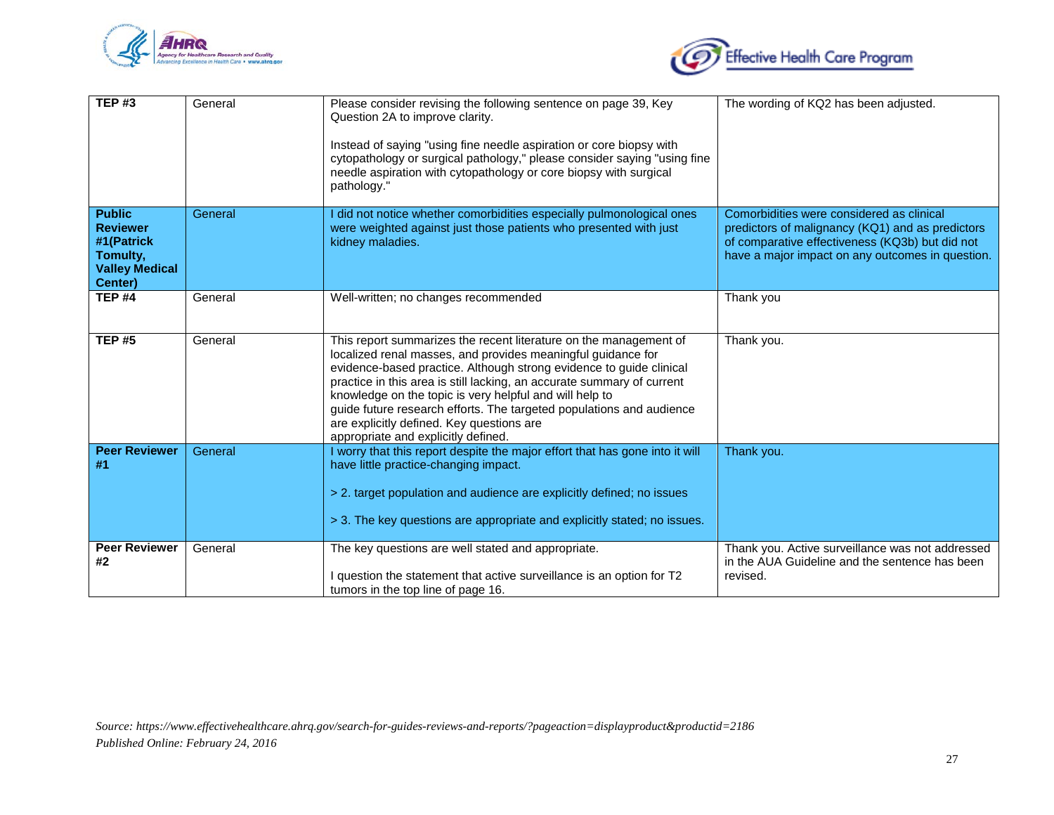



| <b>TEP#3</b>                                                                                   | General | Please consider revising the following sentence on page 39, Key<br>Question 2A to improve clarity.<br>Instead of saying "using fine needle aspiration or core biopsy with<br>cytopathology or surgical pathology," please consider saying "using fine<br>needle aspiration with cytopathology or core biopsy with surgical<br>pathology."                                                                                                                                                                 | The wording of KQ2 has been adjusted.                                                                                                                                                                |
|------------------------------------------------------------------------------------------------|---------|-----------------------------------------------------------------------------------------------------------------------------------------------------------------------------------------------------------------------------------------------------------------------------------------------------------------------------------------------------------------------------------------------------------------------------------------------------------------------------------------------------------|------------------------------------------------------------------------------------------------------------------------------------------------------------------------------------------------------|
| <b>Public</b><br><b>Reviewer</b><br>#1(Patrick<br>Tomulty,<br><b>Valley Medical</b><br>Center) | General | I did not notice whether comorbidities especially pulmonological ones<br>were weighted against just those patients who presented with just<br>kidney maladies.                                                                                                                                                                                                                                                                                                                                            | Comorbidities were considered as clinical<br>predictors of malignancy (KQ1) and as predictors<br>of comparative effectiveness (KQ3b) but did not<br>have a major impact on any outcomes in question. |
| <b>TEP #4</b>                                                                                  | General | Well-written; no changes recommended                                                                                                                                                                                                                                                                                                                                                                                                                                                                      | Thank you                                                                                                                                                                                            |
| <b>TEP#5</b>                                                                                   | General | This report summarizes the recent literature on the management of<br>localized renal masses, and provides meaningful guidance for<br>evidence-based practice. Although strong evidence to guide clinical<br>practice in this area is still lacking, an accurate summary of current<br>knowledge on the topic is very helpful and will help to<br>guide future research efforts. The targeted populations and audience<br>are explicitly defined. Key questions are<br>appropriate and explicitly defined. | Thank you.                                                                                                                                                                                           |
| <b>Peer Reviewer</b><br>#1                                                                     | General | I worry that this report despite the major effort that has gone into it will<br>have little practice-changing impact.<br>> 2. target population and audience are explicitly defined; no issues<br>> 3. The key questions are appropriate and explicitly stated; no issues.                                                                                                                                                                                                                                | Thank you.                                                                                                                                                                                           |
| <b>Peer Reviewer</b><br>#2                                                                     | General | The key questions are well stated and appropriate.<br>I question the statement that active surveillance is an option for T2<br>tumors in the top line of page 16.                                                                                                                                                                                                                                                                                                                                         | Thank you. Active surveillance was not addressed<br>in the AUA Guideline and the sentence has been<br>revised.                                                                                       |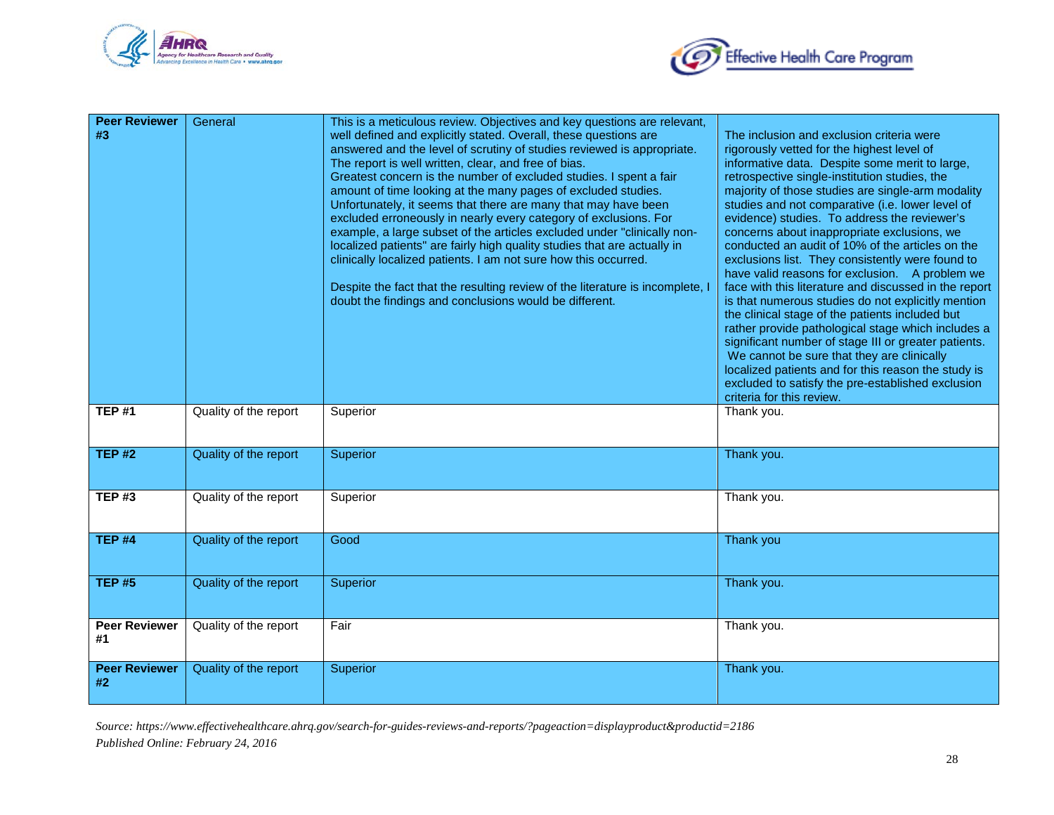



| <b>Peer Reviewer</b><br>#3 | General               | This is a meticulous review. Objectives and key questions are relevant,<br>well defined and explicitly stated. Overall, these questions are<br>answered and the level of scrutiny of studies reviewed is appropriate.<br>The report is well written, clear, and free of bias.<br>Greatest concern is the number of excluded studies. I spent a fair<br>amount of time looking at the many pages of excluded studies.<br>Unfortunately, it seems that there are many that may have been<br>excluded erroneously in nearly every category of exclusions. For<br>example, a large subset of the articles excluded under "clinically non-<br>localized patients" are fairly high quality studies that are actually in<br>clinically localized patients. I am not sure how this occurred.<br>Despite the fact that the resulting review of the literature is incomplete, I<br>doubt the findings and conclusions would be different. | The inclusion and exclusion criteria were<br>rigorously vetted for the highest level of<br>informative data. Despite some merit to large,<br>retrospective single-institution studies, the<br>majority of those studies are single-arm modality<br>studies and not comparative (i.e. lower level of<br>evidence) studies. To address the reviewer's<br>concerns about inappropriate exclusions, we<br>conducted an audit of 10% of the articles on the<br>exclusions list. They consistently were found to<br>have valid reasons for exclusion. A problem we<br>face with this literature and discussed in the report<br>is that numerous studies do not explicitly mention<br>the clinical stage of the patients included but<br>rather provide pathological stage which includes a<br>significant number of stage III or greater patients.<br>We cannot be sure that they are clinically<br>localized patients and for this reason the study is<br>excluded to satisfy the pre-established exclusion<br>criteria for this review. |
|----------------------------|-----------------------|---------------------------------------------------------------------------------------------------------------------------------------------------------------------------------------------------------------------------------------------------------------------------------------------------------------------------------------------------------------------------------------------------------------------------------------------------------------------------------------------------------------------------------------------------------------------------------------------------------------------------------------------------------------------------------------------------------------------------------------------------------------------------------------------------------------------------------------------------------------------------------------------------------------------------------|-------------------------------------------------------------------------------------------------------------------------------------------------------------------------------------------------------------------------------------------------------------------------------------------------------------------------------------------------------------------------------------------------------------------------------------------------------------------------------------------------------------------------------------------------------------------------------------------------------------------------------------------------------------------------------------------------------------------------------------------------------------------------------------------------------------------------------------------------------------------------------------------------------------------------------------------------------------------------------------------------------------------------------------|
| <b>TEP#1</b>               | Quality of the report | Superior                                                                                                                                                                                                                                                                                                                                                                                                                                                                                                                                                                                                                                                                                                                                                                                                                                                                                                                        | Thank you.                                                                                                                                                                                                                                                                                                                                                                                                                                                                                                                                                                                                                                                                                                                                                                                                                                                                                                                                                                                                                          |
| <b>TEP#2</b>               | Quality of the report | Superior                                                                                                                                                                                                                                                                                                                                                                                                                                                                                                                                                                                                                                                                                                                                                                                                                                                                                                                        | Thank you.                                                                                                                                                                                                                                                                                                                                                                                                                                                                                                                                                                                                                                                                                                                                                                                                                                                                                                                                                                                                                          |
| <b>TEP#3</b>               | Quality of the report | Superior                                                                                                                                                                                                                                                                                                                                                                                                                                                                                                                                                                                                                                                                                                                                                                                                                                                                                                                        | Thank you.                                                                                                                                                                                                                                                                                                                                                                                                                                                                                                                                                                                                                                                                                                                                                                                                                                                                                                                                                                                                                          |
| <b>TEP #4</b>              | Quality of the report | Good                                                                                                                                                                                                                                                                                                                                                                                                                                                                                                                                                                                                                                                                                                                                                                                                                                                                                                                            | Thank you                                                                                                                                                                                                                                                                                                                                                                                                                                                                                                                                                                                                                                                                                                                                                                                                                                                                                                                                                                                                                           |
| <b>TEP#5</b>               | Quality of the report | Superior                                                                                                                                                                                                                                                                                                                                                                                                                                                                                                                                                                                                                                                                                                                                                                                                                                                                                                                        | Thank you.                                                                                                                                                                                                                                                                                                                                                                                                                                                                                                                                                                                                                                                                                                                                                                                                                                                                                                                                                                                                                          |
| Peer Reviewer<br>#1        | Quality of the report | Fair                                                                                                                                                                                                                                                                                                                                                                                                                                                                                                                                                                                                                                                                                                                                                                                                                                                                                                                            | Thank you.                                                                                                                                                                                                                                                                                                                                                                                                                                                                                                                                                                                                                                                                                                                                                                                                                                                                                                                                                                                                                          |
| <b>Peer Reviewer</b><br>#2 | Quality of the report | <b>Superior</b>                                                                                                                                                                                                                                                                                                                                                                                                                                                                                                                                                                                                                                                                                                                                                                                                                                                                                                                 | Thank you.                                                                                                                                                                                                                                                                                                                                                                                                                                                                                                                                                                                                                                                                                                                                                                                                                                                                                                                                                                                                                          |